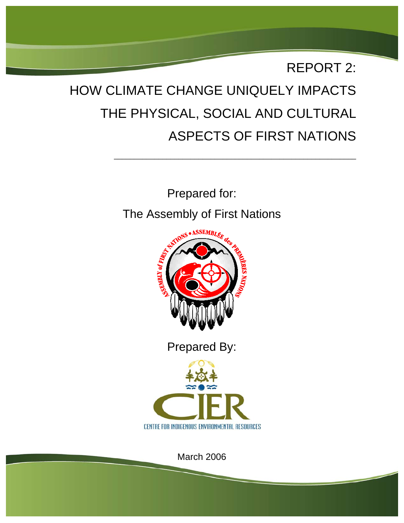

\_\_\_\_\_\_\_\_\_\_\_\_\_\_\_\_\_\_\_\_\_\_\_\_\_\_\_\_\_\_\_\_\_\_\_\_\_\_\_\_\_\_\_\_\_\_\_\_\_\_\_\_\_\_\_\_\_\_\_\_

Prepared for: The Assembly of First Nations



Prepared By:



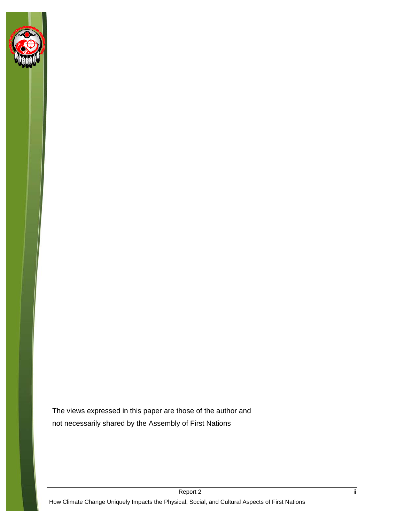

The views expressed in this paper are those of the author and not necessarily shared by the Assembly of First Nations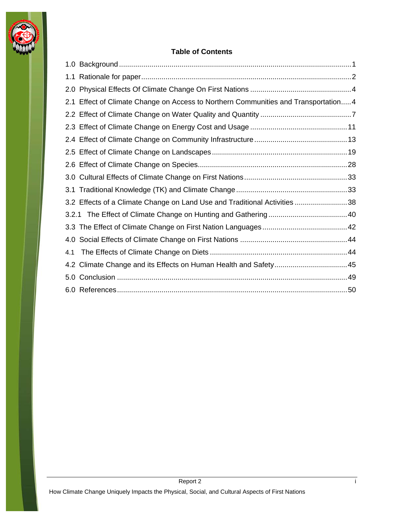

#### **Table of Contents**

|     | 2.1 Effect of Climate Change on Access to Northern Communities and Transportation4 |  |
|-----|------------------------------------------------------------------------------------|--|
|     |                                                                                    |  |
|     |                                                                                    |  |
|     |                                                                                    |  |
|     |                                                                                    |  |
|     |                                                                                    |  |
|     |                                                                                    |  |
|     |                                                                                    |  |
|     | 3.2 Effects of a Climate Change on Land Use and Traditional Activities 38          |  |
|     |                                                                                    |  |
|     |                                                                                    |  |
|     |                                                                                    |  |
| 4.1 |                                                                                    |  |
|     |                                                                                    |  |
|     |                                                                                    |  |
|     |                                                                                    |  |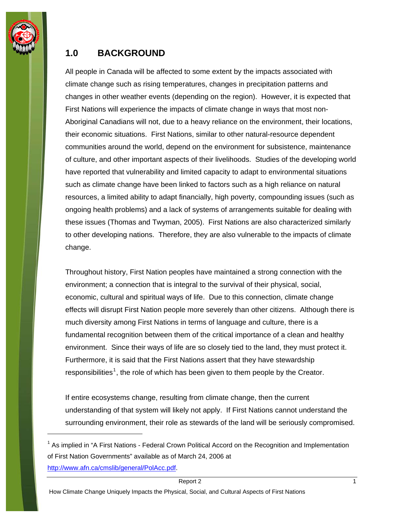<span id="page-4-0"></span>

## **1.0 BACKGROUND**

All people in Canada will be affected to some extent by the impacts associated with climate change such as rising temperatures, changes in precipitation patterns and changes in other weather events (depending on the region). However, it is expected that First Nations will experience the impacts of climate change in ways that most non-Aboriginal Canadians will not, due to a heavy reliance on the environment, their locations, their economic situations. First Nations, similar to other natural-resource dependent communities around the world, depend on the environment for subsistence, maintenance of culture, and other important aspects of their livelihoods. Studies of the developing world have reported that vulnerability and limited capacity to adapt to environmental situations such as climate change have been linked to factors such as a high reliance on natural resources, a limited ability to adapt financially, high poverty, compounding issues (such as ongoing health problems) and a lack of systems of arrangements suitable for dealing with these issues (Thomas and Twyman, 2005). First Nations are also characterized similarly to other developing nations. Therefore, they are also vulnerable to the impacts of climate change.

Throughout history, First Nation peoples have maintained a strong connection with the environment; a connection that is integral to the survival of their physical, social, economic, cultural and spiritual ways of life. Due to this connection, climate change effects will disrupt First Nation people more severely than other citizens. Although there is much diversity among First Nations in terms of language and culture, there is a fundamental recognition between them of the critical importance of a clean and healthy environment. Since their ways of life are so closely tied to the land, they must protect it. Furthermore, it is said that the First Nations assert that they have stewardship responsibilities<sup>[1](#page-4-1)</sup>, the role of which has been given to them people by the Creator.

If entire ecosystems change, resulting from climate change, then the current understanding of that system will likely not apply. If First Nations cannot understand the surrounding environment, their role as stewards of the land will be seriously compromised.

<span id="page-4-1"></span><sup>&</sup>lt;sup>1</sup> As implied in "A First Nations - Federal Crown Political Accord on the Recognition and Implementation of First Nation Governments" available as of March 24, 2006 at [http://www.afn.ca/cmslib/general/PolAcc.pdf.](http://www.afn.ca/cmslib/general/PolAcc.pdf)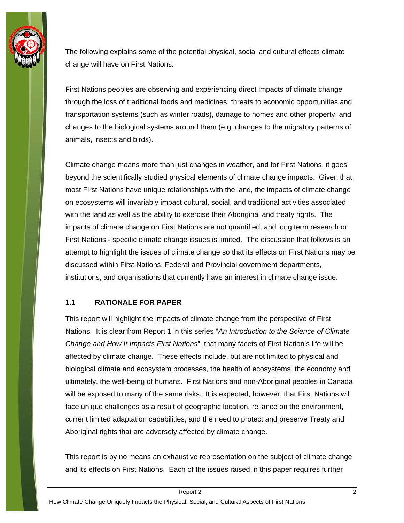<span id="page-5-0"></span>

The following explains some of the potential physical, social and cultural effects climate change will have on First Nations.

First Nations peoples are observing and experiencing direct impacts of climate change through the loss of traditional foods and medicines, threats to economic opportunities and transportation systems (such as winter roads), damage to homes and other property, and changes to the biological systems around them (e.g. changes to the migratory patterns of animals, insects and birds).

Climate change means more than just changes in weather, and for First Nations, it goes beyond the scientifically studied physical elements of climate change impacts. Given that most First Nations have unique relationships with the land, the impacts of climate change on ecosystems will invariably impact cultural, social, and traditional activities associated with the land as well as the ability to exercise their Aboriginal and treaty rights. The impacts of climate change on First Nations are not quantified, and long term research on First Nations - specific climate change issues is limited. The discussion that follows is an attempt to highlight the issues of climate change so that its effects on First Nations may be discussed within First Nations, Federal and Provincial government departments, institutions, and organisations that currently have an interest in climate change issue.

#### **1.1 RATIONALE FOR PAPER**

This report will highlight the impacts of climate change from the perspective of First Nations. It is clear from Report 1 in this series "*An Introduction to the Science of Climate Change and How It Impacts First Nations*", that many facets of First Nation's life will be affected by climate change. These effects include, but are not limited to physical and biological climate and ecosystem processes, the health of ecosystems, the economy and ultimately, the well-being of humans. First Nations and non-Aboriginal peoples in Canada will be exposed to many of the same risks. It is expected, however, that First Nations will face unique challenges as a result of geographic location, reliance on the environment, current limited adaptation capabilities, and the need to protect and preserve Treaty and Aboriginal rights that are adversely affected by climate change.

This report is by no means an exhaustive representation on the subject of climate change and its effects on First Nations. Each of the issues raised in this paper requires further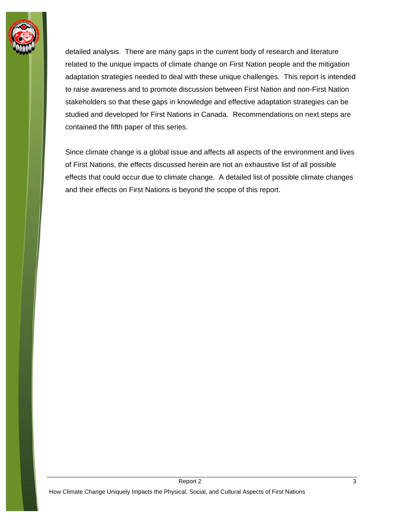

detailed analysis. There are many gaps in the current body of research and literature related to the unique impacts of climate change on First Nation people and the mitigation adaptation strategies needed to deal with these unique challenges. This report is intended to raise awareness and to promote discussion between First Nation and non-First Nation stakeholders so that these gaps in knowledge and effective adaptation strategies can be studied and developed for First Nations in Canada. Recommendations on next steps are contained the fifth paper of this series.

Since climate change is a global issue and affects all aspects of the environment and lives of First Nations, the effects discussed herein are not an exhaustive list of all possible effects that could occur due to climate change. A detailed list of possible climate changes and their effects on First Nations is beyond the scope of this report.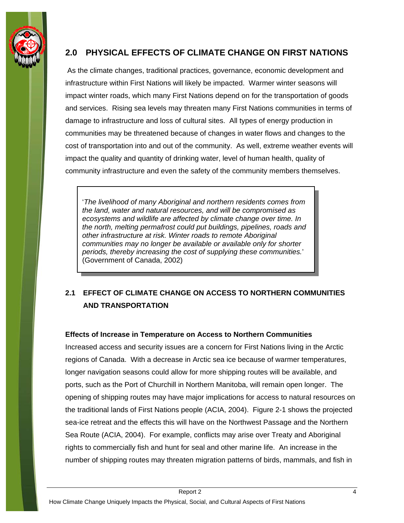<span id="page-7-0"></span>

## **2.0 PHYSICAL EFFECTS OF CLIMATE CHANGE ON FIRST NATIONS**

 As the climate changes, traditional practices, governance, economic development and infrastructure within First Nations will likely be impacted. Warmer winter seasons will impact winter roads, which many First Nations depend on for the transportation of goods and services. Rising sea levels may threaten many First Nations communities in terms of damage to infrastructure and loss of cultural sites. All types of energy production in communities may be threatened because of changes in water flows and changes to the cost of transportation into and out of the community. As well, extreme weather events will impact the quality and quantity of drinking water, level of human health, quality of community infrastructure and even the safety of the community members themselves.

'*The livelihood of many Aboriginal and northern residents comes from the land, water and natural resources, and will be compromised as ecosystems and wildlife are affected by climate change over time. In the north, melting permafrost could put buildings, pipelines, roads and other infrastructure at risk. Winter roads to remote Aboriginal communities may no longer be available or available only for shorter periods, thereby increasing the cost of supplying these communities.*' (Government of Canada, 2002)

## **2.1 EFFECT OF CLIMATE CHANGE ON ACCESS TO NORTHERN COMMUNITIES AND TRANSPORTATION**

#### **Effects of Increase in Temperature on Access to Northern Communities**

Increased access and security issues are a concern for First Nations living in the Arctic regions of Canada. With a decrease in Arctic sea ice because of warmer temperatures, longer navigation seasons could allow for more shipping routes will be available, and ports, such as the Port of Churchill in Northern Manitoba, will remain open longer. The opening of shipping routes may have major implications for access to natural resources on the traditional lands of First Nations people (ACIA, 2004). Figure 2-1 shows the projected sea-ice retreat and the effects this will have on the Northwest Passage and the Northern Sea Route (ACIA, 2004). For example, conflicts may arise over Treaty and Aboriginal rights to commercially fish and hunt for seal and other marine life. An increase in the number of shipping routes may threaten migration patterns of birds, mammals, and fish in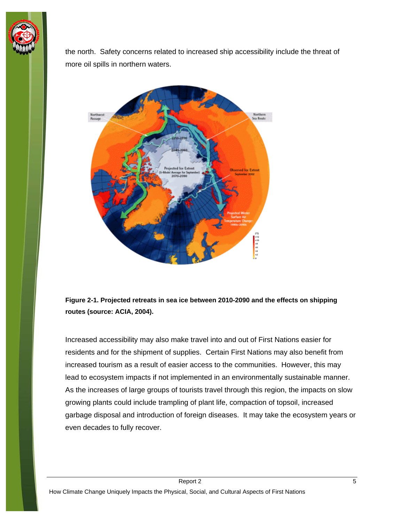

the north. Safety concerns related to increased ship accessibility include the threat of more oil spills in northern waters.



**Figure 2-1. Projected retreats in sea ice between 2010-2090 and the effects on shipping routes (source: ACIA, 2004).** 

Increased accessibility may also make travel into and out of First Nations easier for residents and for the shipment of supplies. Certain First Nations may also benefit from increased tourism as a result of easier access to the communities. However, this may lead to ecosystem impacts if not implemented in an environmentally sustainable manner. As the increases of large groups of tourists travel through this region, the impacts on slow growing plants could include trampling of plant life, compaction of topsoil, increased garbage disposal and introduction of foreign diseases. It may take the ecosystem years or even decades to fully recover.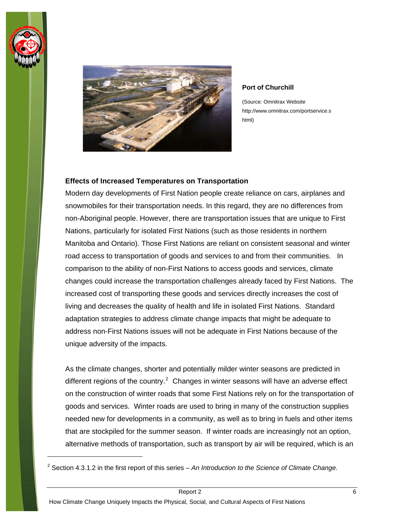

 $\overline{a}$ 



#### **Port of Churchill**

(Source: Omnitrax Website http://www.omnitrax.com/portservice.s html)

#### **Effects of Increased Temperatures on Transportation**

Modern day developments of First Nation people create reliance on cars, airplanes and snowmobiles for their transportation needs. In this regard, they are no differences from non-Aboriginal people. However, there are transportation issues that are unique to First Nations, particularly for isolated First Nations (such as those residents in northern Manitoba and Ontario). Those First Nations are reliant on consistent seasonal and winter road access to transportation of goods and services to and from their communities. In comparison to the ability of non-First Nations to access goods and services, climate changes could increase the transportation challenges already faced by First Nations. The increased cost of transporting these goods and services directly increases the cost of living and decreases the quality of health and life in isolated First Nations. Standard adaptation strategies to address climate change impacts that might be adequate to address non-First Nations issues will not be adequate in First Nations because of the unique adversity of the impacts.

As the climate changes, shorter and potentially milder winter seasons are predicted in different regions of the country. $2$  Changes in winter seasons will have an adverse effect on the construction of winter roads that some First Nations rely on for the transportation of goods and services. Winter roads are used to bring in many of the construction supplies needed new for developments in a community, as well as to bring in fuels and other items that are stockpiled for the summer season. If winter roads are increasingly not an option, alternative methods of transportation, such as transport by air will be required, which is an

<span id="page-9-0"></span><sup>2</sup> Section 4.3.1.2 in the first report of this series – *An Introduction to the Science of Climate Change.*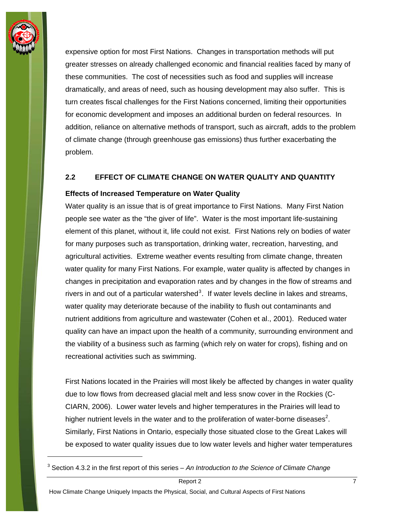<span id="page-10-0"></span>

expensive option for most First Nations. Changes in transportation methods will put greater stresses on already challenged economic and financial realities faced by many of these communities. The cost of necessities such as food and supplies will increase dramatically, and areas of need, such as housing development may also suffer. This is turn creates fiscal challenges for the First Nations concerned, limiting their opportunities for economic development and imposes an additional burden on federal resources. In addition, reliance on alternative methods of transport, such as aircraft, adds to the problem of climate change (through greenhouse gas emissions) thus further exacerbating the problem.

#### **2.2 EFFECT OF CLIMATE CHANGE ON WATER QUALITY AND QUANTITY**

#### **Effects of Increased Temperature on Water Quality**

Water quality is an issue that is of great importance to First Nations. Many First Nation people see water as the "the giver of life". Water is the most important life-sustaining element of this planet, without it, life could not exist. First Nations rely on bodies of water for many purposes such as transportation, drinking water, recreation, harvesting, and agricultural activities. Extreme weather events resulting from climate change, threaten water quality for many First Nations. For example, water quality is affected by changes in changes in precipitation and evaporation rates and by changes in the flow of streams and rivers in and out of a particular watershed<sup>[3](#page-10-1)</sup>. If water levels decline in lakes and streams, water quality may deteriorate because of the inability to flush out contaminants and nutrient additions from agriculture and wastewater (Cohen et al., 2001). Reduced water quality can have an impact upon the health of a community, surrounding environment and the viability of a business such as farming (which rely on water for crops), fishing and on recreational activities such as swimming.

First Nations located in the Prairies will most likely be affected by changes in water quality due to low flows from decreased glacial melt and less snow cover in the Rockies (C-CIARN, 2006). Lower water levels and higher temperatures in the Prairies will lead to higher nutrient levels in the water and to the proliferation of water-borne diseases<sup>2</sup>. Similarly, First Nations in Ontario, especially those situated close to the Great Lakes will be exposed to water quality issues due to low water levels and higher water temperatures

<span id="page-10-1"></span><sup>3</sup> Section 4.3.2 in the first report of this series – *An Introduction to the Science of Climate Change*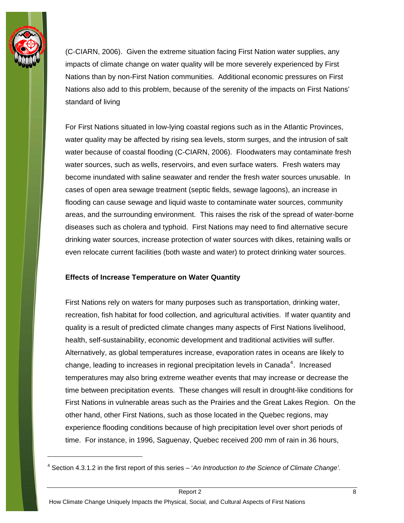

(C-CIARN, 2006). Given the extreme situation facing First Nation water supplies, any impacts of climate change on water quality will be more severely experienced by First Nations than by non-First Nation communities. Additional economic pressures on First Nations also add to this problem, because of the serenity of the impacts on First Nations' standard of living

For First Nations situated in low-lying coastal regions such as in the Atlantic Provinces, water quality may be affected by rising sea levels, storm surges, and the intrusion of salt water because of coastal flooding (C-CIARN, 2006). Floodwaters may contaminate fresh water sources, such as wells, reservoirs, and even surface waters. Fresh waters may become inundated with saline seawater and render the fresh water sources unusable. In cases of open area sewage treatment (septic fields, sewage lagoons), an increase in flooding can cause sewage and liquid waste to contaminate water sources, community areas, and the surrounding environment. This raises the risk of the spread of water-borne diseases such as cholera and typhoid. First Nations may need to find alternative secure drinking water sources, increase protection of water sources with dikes, retaining walls or even relocate current facilities (both waste and water) to protect drinking water sources.

#### **Effects of Increase Temperature on Water Quantity**

First Nations rely on waters for many purposes such as transportation, drinking water, recreation, fish habitat for food collection, and agricultural activities. If water quantity and quality is a result of predicted climate changes many aspects of First Nations livelihood, health, self-sustainability, economic development and traditional activities will suffer. Alternatively, as global temperatures increase, evaporation rates in oceans are likely to change, leading to increases in regional precipitation levels in Canada<sup>[4](#page-11-0)</sup>. Increased temperatures may also bring extreme weather events that may increase or decrease the time between precipitation events. These changes will result in drought-like conditions for First Nations in vulnerable areas such as the Prairies and the Great Lakes Region. On the other hand, other First Nations, such as those located in the Quebec regions, may experience flooding conditions because of high precipitation level over short periods of time. For instance, in 1996, Saguenay, Quebec received 200 mm of rain in 36 hours,

<span id="page-11-0"></span><sup>4</sup> Section 4.3.1.2 in the first report of this series – '*An Introduction to the Science of Climate Change'.*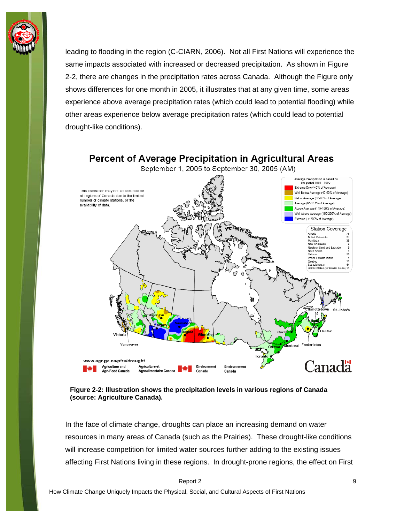

leading to flooding in the region (C-CIARN, 2006). Not all First Nations will experience the same impacts associated with increased or decreased precipitation. As shown in Figure 2-2, there are changes in the precipitation rates across Canada. Although the Figure only shows differences for one month in 2005, it illustrates that at any given time, some areas experience above average precipitation rates (which could lead to potential flooding) while other areas experience below average precipitation rates (which could lead to potential drought-like conditions).





In the face of climate change, droughts can place an increasing demand on water resources in many areas of Canada (such as the Prairies). These drought-like conditions will increase competition for limited water sources further adding to the existing issues affecting First Nations living in these regions. In drought-prone regions, the effect on First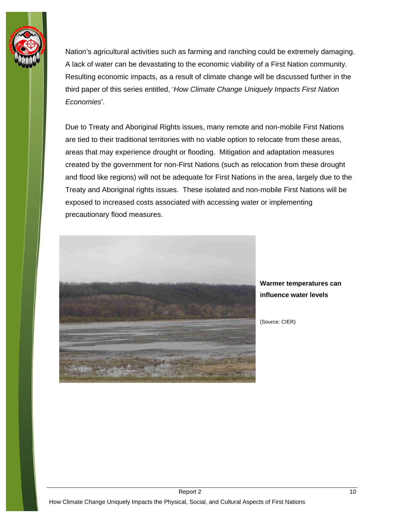

Nation's agricultural activities such as farming and ranching could be extremely damaging. A lack of water can be devastating to the economic viability of a First Nation community. Resulting economic impacts, as a result of climate change will be discussed further in the third paper of this series entitled, '*How Climate Change Uniquely Impacts First Nation Economies*'.

Due to Treaty and Aboriginal Rights issues, many remote and non-mobile First Nations are tied to their traditional territories with no viable option to relocate from these areas, areas that may experience drought or flooding. Mitigation and adaptation measures created by the government for non-First Nations (such as relocation from these drought and flood like regions) will not be adequate for First Nations in the area, largely due to the Treaty and Aboriginal rights issues. These isolated and non-mobile First Nations will be exposed to increased costs associated with accessing water or implementing precautionary flood measures.



**Warmer temperatures can influence water levels** 

(Source: CIER)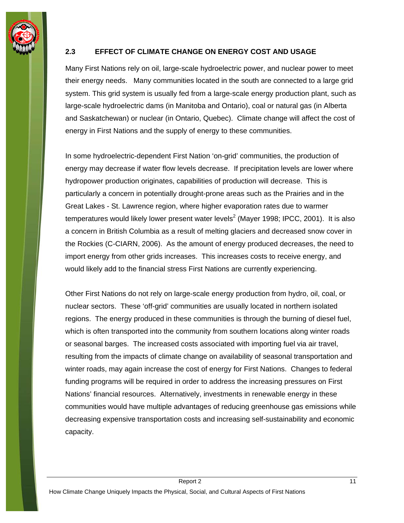<span id="page-14-0"></span>

#### **2.3 EFFECT OF CLIMATE CHANGE ON ENERGY COST AND USAGE**

Many First Nations rely on oil, large-scale hydroelectric power, and nuclear power to meet their energy needs. Many communities located in the south are connected to a large grid system. This grid system is usually fed from a large-scale energy production plant, such as large-scale hydroelectric dams (in Manitoba and Ontario), coal or natural gas (in Alberta and Saskatchewan) or nuclear (in Ontario, Quebec). Climate change will affect the cost of energy in First Nations and the supply of energy to these communities.

In some hydroelectric-dependent First Nation 'on-grid' communities, the production of energy may decrease if water flow levels decrease. If precipitation levels are lower where hydropower production originates, capabilities of production will decrease. This is particularly a concern in potentially drought-prone areas such as the Prairies and in the Great Lakes - St. Lawrence region, where higher evaporation rates due to warmer temperatures would likely lower present water levels<sup>2</sup> (Mayer 1998; IPCC, 2001). It is also a concern in British Columbia as a result of melting glaciers and decreased snow cover in the Rockies (C-CIARN, 2006). As the amount of energy produced decreases, the need to import energy from other grids increases. This increases costs to receive energy, and would likely add to the financial stress First Nations are currently experiencing.

Other First Nations do not rely on large-scale energy production from hydro, oil, coal, or nuclear sectors. These 'off-grid' communities are usually located in northern isolated regions. The energy produced in these communities is through the burning of diesel fuel, which is often transported into the community from southern locations along winter roads or seasonal barges. The increased costs associated with importing fuel via air travel, resulting from the impacts of climate change on availability of seasonal transportation and winter roads, may again increase the cost of energy for First Nations. Changes to federal funding programs will be required in order to address the increasing pressures on First Nations' financial resources. Alternatively, investments in renewable energy in these communities would have multiple advantages of reducing greenhouse gas emissions while decreasing expensive transportation costs and increasing self-sustainability and economic capacity.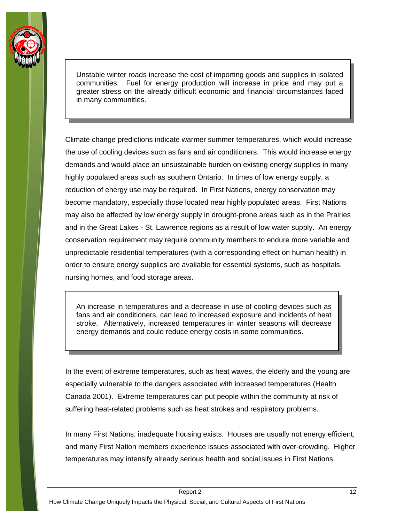

Unstable winter roads increase the cost of importing goods and supplies in isolated communities. Fuel for energy production will increase in price and may put a greater stress on the already difficult economic and financial circumstances faced in many communities.

Climate change predictions indicate warmer summer temperatures, which would increase the use of cooling devices such as fans and air conditioners. This would increase energy demands and would place an unsustainable burden on existing energy supplies in many highly populated areas such as southern Ontario. In times of low energy supply, a reduction of energy use may be required. In First Nations, energy conservation may become mandatory, especially those located near highly populated areas. First Nations may also be affected by low energy supply in drought-prone areas such as in the Prairies and in the Great Lakes - St. Lawrence regions as a result of low water supply. An energy conservation requirement may require community members to endure more variable and unpredictable residential temperatures (with a corresponding effect on human health) in order to ensure energy supplies are available for essential systems, such as hospitals, nursing homes, and food storage areas.

An increase in temperatures and a decrease in use of cooling devices such as fans and air conditioners, can lead to increased exposure and incidents of heat stroke. Alternatively, increased temperatures in winter seasons will decrease energy demands and could reduce energy costs in some communities.

In the event of extreme temperatures, such as heat waves, the elderly and the young are especially vulnerable to the dangers associated with increased temperatures (Health Canada 2001). Extreme temperatures can put people within the community at risk of suffering heat-related problems such as heat strokes and respiratory problems.

In many First Nations, inadequate housing exists. Houses are usually not energy efficient, and many First Nation members experience issues associated with over-crowding. Higher temperatures may intensify already serious health and social issues in First Nations.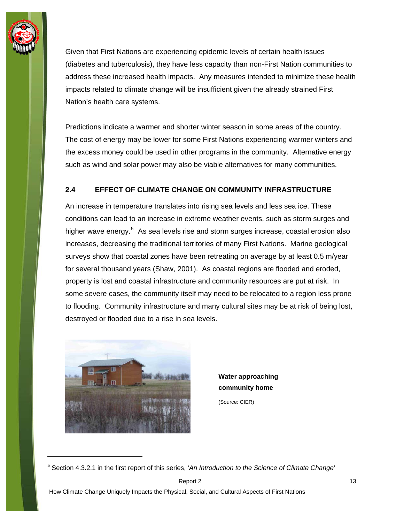<span id="page-16-0"></span>

Given that First Nations are experiencing epidemic levels of certain health issues (diabetes and tuberculosis), they have less capacity than non-First Nation communities to address these increased health impacts. Any measures intended to minimize these health impacts related to climate change will be insufficient given the already strained First Nation's health care systems.

Predictions indicate a warmer and shorter winter season in some areas of the country. The cost of energy may be lower for some First Nations experiencing warmer winters and the excess money could be used in other programs in the community. Alternative energy such as wind and solar power may also be viable alternatives for many communities.

#### **2.4 EFFECT OF CLIMATE CHANGE ON COMMUNITY INFRASTRUCTURE**

An increase in temperature translates into rising sea levels and less sea ice. These conditions can lead to an increase in extreme weather events, such as storm surges and higher wave energy.<sup>[5](#page-16-1)</sup> As sea levels rise and storm surges increase, coastal erosion also increases, decreasing the traditional territories of many First Nations. Marine geological surveys show that coastal zones have been retreating on average by at least 0.5 m/year for several thousand years (Shaw, 2001). As coastal regions are flooded and eroded, property is lost and coastal infrastructure and community resources are put at risk. In some severe cases, the community itself may need to be relocated to a region less prone to flooding. Community infrastructure and many cultural sites may be at risk of being lost, destroyed or flooded due to a rise in sea levels.



-

**Water approaching community home** 

(Source: CIER)

<span id="page-16-1"></span><sup>5</sup> Section 4.3.2.1 in the first report of this series, '*An Introduction to the Science of Climate Change*'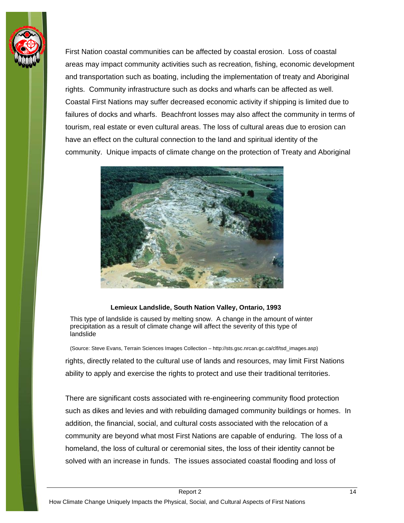

First Nation coastal communities can be affected by coastal erosion. Loss of coastal areas may impact community activities such as recreation, fishing, economic development and transportation such as boating, including the implementation of treaty and Aboriginal rights. Community infrastructure such as docks and wharfs can be affected as well. Coastal First Nations may suffer decreased economic activity if shipping is limited due to failures of docks and wharfs. Beachfront losses may also affect the community in terms of tourism, real estate or even cultural areas. The loss of cultural areas due to erosion can have an effect on the cultural connection to the land and spiritual identity of the community. Unique impacts of climate change on the protection of Treaty and Aboriginal



#### **Lemieux Landslide, South Nation Valley, Ontario, 1993**

This type of landslide is caused by melting snow. A change in the amount of winter precipitation as a result of climate change will affect the severity of this type of landslide

(Source: Steve Evans, Terrain Sciences Images Collection – http://sts.gsc.nrcan.gc.ca/clf/tsd\_images.asp)

rights, directly related to the cultural use of lands and resources, may limit First Nations ability to apply and exercise the rights to protect and use their traditional territories.

There are significant costs associated with re-engineering community flood protection such as dikes and levies and with rebuilding damaged community buildings or homes. In addition, the financial, social, and cultural costs associated with the relocation of a community are beyond what most First Nations are capable of enduring. The loss of a homeland, the loss of cultural or ceremonial sites, the loss of their identity cannot be solved with an increase in funds. The issues associated coastal flooding and loss of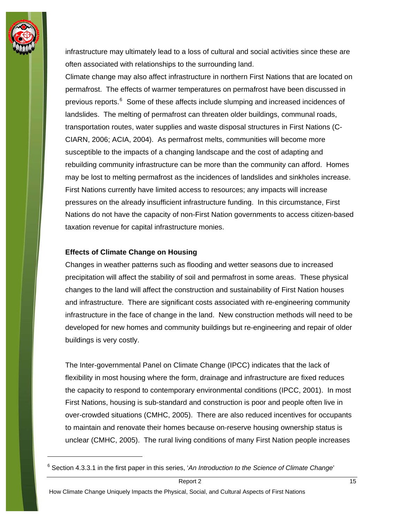

infrastructure may ultimately lead to a loss of cultural and social activities since these are often associated with relationships to the surrounding land.

Climate change may also affect infrastructure in northern First Nations that are located on permafrost. The effects of warmer temperatures on permafrost have been discussed in previous reports.<sup>[6](#page-18-0)</sup> Some of these affects include slumping and increased incidences of landslides. The melting of permafrost can threaten older buildings, communal roads, transportation routes, water supplies and waste disposal structures in First Nations (C-CIARN, 2006; ACIA, 2004). As permafrost melts, communities will become more susceptible to the impacts of a changing landscape and the cost of adapting and rebuilding community infrastructure can be more than the community can afford. Homes may be lost to melting permafrost as the incidences of landslides and sinkholes increase. First Nations currently have limited access to resources; any impacts will increase pressures on the already insufficient infrastructure funding. In this circumstance, First Nations do not have the capacity of non-First Nation governments to access citizen-based taxation revenue for capital infrastructure monies.

#### **Effects of Climate Change on Housing**

Changes in weather patterns such as flooding and wetter seasons due to increased precipitation will affect the stability of soil and permafrost in some areas. These physical changes to the land will affect the construction and sustainability of First Nation houses and infrastructure. There are significant costs associated with re-engineering community infrastructure in the face of change in the land. New construction methods will need to be developed for new homes and community buildings but re-engineering and repair of older buildings is very costly.

The Inter-governmental Panel on Climate Change (IPCC) indicates that the lack of flexibility in most housing where the form, drainage and infrastructure are fixed reduces the capacity to respond to contemporary environmental conditions (IPCC, 2001). In most First Nations, housing is sub-standard and construction is poor and people often live in over-crowded situations (CMHC, 2005). There are also reduced incentives for occupants to maintain and renovate their homes because on-reserve housing ownership status is unclear (CMHC, 2005). The rural living conditions of many First Nation people increases

<span id="page-18-0"></span><sup>&</sup>lt;sup>6</sup> Section 4.3.3.1 in the first paper in this series, 'An Introduction to the Science of Climate Change'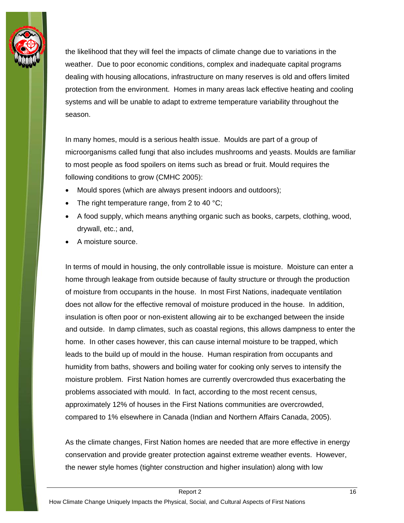

the likelihood that they will feel the impacts of climate change due to variations in the weather. Due to poor economic conditions, complex and inadequate capital programs dealing with housing allocations, infrastructure on many reserves is old and offers limited protection from the environment. Homes in many areas lack effective heating and cooling systems and will be unable to adapt to extreme temperature variability throughout the season.

In many homes, mould is a serious health issue. Moulds are part of a group of microorganisms called fungi that also includes mushrooms and yeasts. Moulds are familiar to most people as food spoilers on items such as bread or fruit. Mould requires the following conditions to grow (CMHC 2005):

- Mould spores (which are always present indoors and outdoors);
- The right temperature range, from 2 to 40  $^{\circ}$ C;
- A food supply, which means anything organic such as books, carpets, clothing, wood, drywall, etc.; and,
- A moisture source.

In terms of mould in housing, the only controllable issue is moisture. Moisture can enter a home through leakage from outside because of faulty structure or through the production of moisture from occupants in the house. In most First Nations, inadequate ventilation does not allow for the effective removal of moisture produced in the house. In addition, insulation is often poor or non-existent allowing air to be exchanged between the inside and outside. In damp climates, such as coastal regions, this allows dampness to enter the home. In other cases however, this can cause internal moisture to be trapped, which leads to the build up of mould in the house. Human respiration from occupants and humidity from baths, showers and boiling water for cooking only serves to intensify the moisture problem. First Nation homes are currently overcrowded thus exacerbating the problems associated with mould. In fact, according to the most recent census, approximately 12% of houses in the First Nations communities are overcrowded, compared to 1% elsewhere in Canada (Indian and Northern Affairs Canada, 2005).

As the climate changes, First Nation homes are needed that are more effective in energy conservation and provide greater protection against extreme weather events. However, the newer style homes (tighter construction and higher insulation) along with low

How Climate Change Uniquely Impacts the Physical, Social, and Cultural Aspects of First Nations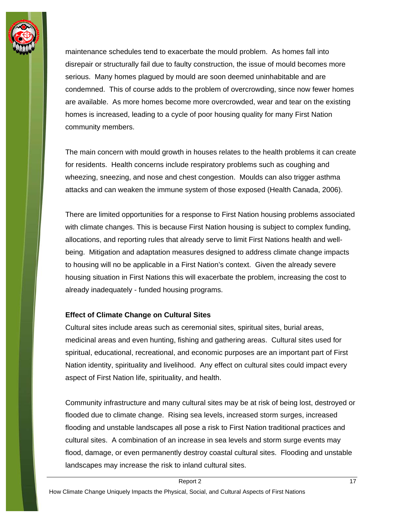

maintenance schedules tend to exacerbate the mould problem. As homes fall into disrepair or structurally fail due to faulty construction, the issue of mould becomes more serious. Many homes plagued by mould are soon deemed uninhabitable and are condemned. This of course adds to the problem of overcrowding, since now fewer homes are available. As more homes become more overcrowded, wear and tear on the existing homes is increased, leading to a cycle of poor housing quality for many First Nation community members.

The main concern with mould growth in houses relates to the health problems it can create for residents. Health concerns include respiratory problems such as coughing and wheezing, sneezing, and nose and chest congestion. Moulds can also trigger asthma attacks and can weaken the immune system of those exposed (Health Canada, 2006).

There are limited opportunities for a response to First Nation housing problems associated with climate changes. This is because First Nation housing is subject to complex funding, allocations, and reporting rules that already serve to limit First Nations health and wellbeing. Mitigation and adaptation measures designed to address climate change impacts to housing will no be applicable in a First Nation's context. Given the already severe housing situation in First Nations this will exacerbate the problem, increasing the cost to already inadequately - funded housing programs.

#### **Effect of Climate Change on Cultural Sites**

Cultural sites include areas such as ceremonial sites, spiritual sites, burial areas, medicinal areas and even hunting, fishing and gathering areas. Cultural sites used for spiritual, educational, recreational, and economic purposes are an important part of First Nation identity, spirituality and livelihood. Any effect on cultural sites could impact every aspect of First Nation life, spirituality, and health.

Community infrastructure and many cultural sites may be at risk of being lost, destroyed or flooded due to climate change. Rising sea levels, increased storm surges, increased flooding and unstable landscapes all pose a risk to First Nation traditional practices and cultural sites. A combination of an increase in sea levels and storm surge events may flood, damage, or even permanently destroy coastal cultural sites. Flooding and unstable landscapes may increase the risk to inland cultural sites.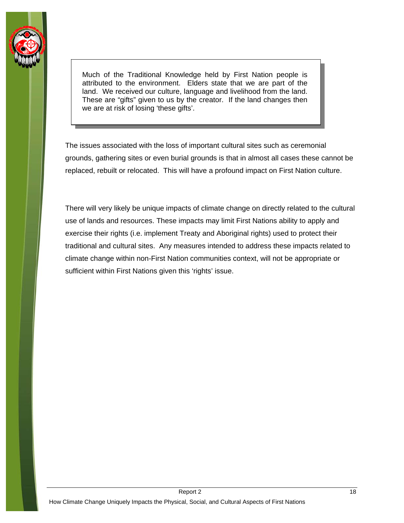

Much of the Traditional Knowledge held by First Nation people is attributed to the environment. Elders state that we are part of the land. We received our culture, language and livelihood from the land. These are "gifts" given to us by the creator. If the land changes then we are at risk of losing 'these gifts'.

The issues associated with the loss of important cultural sites such as ceremonial grounds, gathering sites or even burial grounds is that in almost all cases these cannot be replaced, rebuilt or relocated. This will have a profound impact on First Nation culture.

There will very likely be unique impacts of climate change on directly related to the cultural use of lands and resources. These impacts may limit First Nations ability to apply and exercise their rights (i.e. implement Treaty and Aboriginal rights) used to protect their traditional and cultural sites. Any measures intended to address these impacts related to climate change within non-First Nation communities context, will not be appropriate or sufficient within First Nations given this 'rights' issue.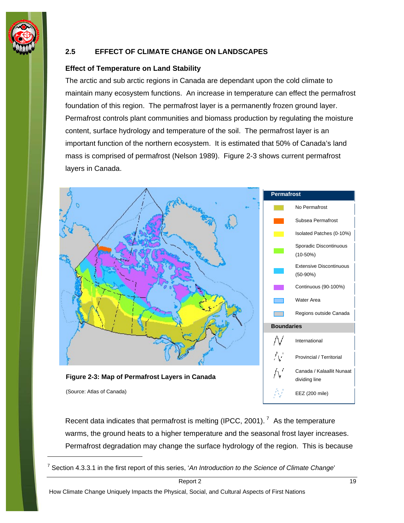<span id="page-22-0"></span>

 $\overline{a}$ 

#### **2.5 EFFECT OF CLIMATE CHANGE ON LANDSCAPES**

#### **Effect of Temperature on Land Stability**

The arctic and sub arctic regions in Canada are dependant upon the cold climate to maintain many ecosystem functions. An increase in temperature can effect the permafrost foundation of this region. The permafrost layer is a permanently frozen ground layer. Permafrost controls plant communities and biomass production by regulating the moisture content, surface hydrology and temperature of the soil. The permafrost layer is an important function of the northern ecosystem. It is estimated that 50% of Canada's land mass is comprised of permafrost (Nelson 1989). Figure 2-3 shows current permafrost layers in Canada.



Recent data indicates that permafrost is melting (IPCC, 2001).<sup>[7](#page-22-1)</sup> As the temperature warms, the ground heats to a higher temperature and the seasonal frost layer increases. Permafrost degradation may change the surface hydrology of the region. This is because

<span id="page-22-1"></span><sup>7</sup> Section 4.3.3.1 in the first report of this series, '*An Introduction to the Science of Climate Change*'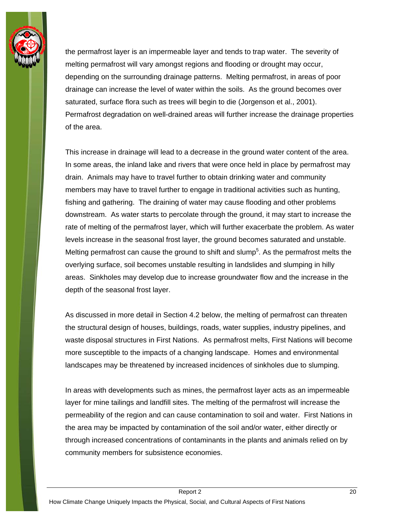

the permafrost layer is an impermeable layer and tends to trap water. The severity of melting permafrost will vary amongst regions and flooding or drought may occur, depending on the surrounding drainage patterns. Melting permafrost, in areas of poor drainage can increase the level of water within the soils. As the ground becomes over saturated, surface flora such as trees will begin to die (Jorgenson et al., 2001). Permafrost degradation on well-drained areas will further increase the drainage properties of the area.

This increase in drainage will lead to a decrease in the ground water content of the area. In some areas, the inland lake and rivers that were once held in place by permafrost may drain. Animals may have to travel further to obtain drinking water and community members may have to travel further to engage in traditional activities such as hunting, fishing and gathering. The draining of water may cause flooding and other problems downstream. As water starts to percolate through the ground, it may start to increase the rate of melting of the permafrost layer, which will further exacerbate the problem. As water levels increase in the seasonal frost layer, the ground becomes saturated and unstable. Melting permafrost can cause the ground to shift and slump<sup>5</sup>. As the permafrost melts the overlying surface, soil becomes unstable resulting in landslides and slumping in hilly areas. Sinkholes may develop due to increase groundwater flow and the increase in the depth of the seasonal frost layer.

As discussed in more detail in Section 4.2 below, the melting of permafrost can threaten the structural design of houses, buildings, roads, water supplies, industry pipelines, and waste disposal structures in First Nations. As permafrost melts, First Nations will become more susceptible to the impacts of a changing landscape. Homes and environmental landscapes may be threatened by increased incidences of sinkholes due to slumping.

In areas with developments such as mines, the permafrost layer acts as an impermeable layer for mine tailings and landfill sites. The melting of the permafrost will increase the permeability of the region and can cause contamination to soil and water. First Nations in the area may be impacted by contamination of the soil and/or water, either directly or through increased concentrations of contaminants in the plants and animals relied on by community members for subsistence economies.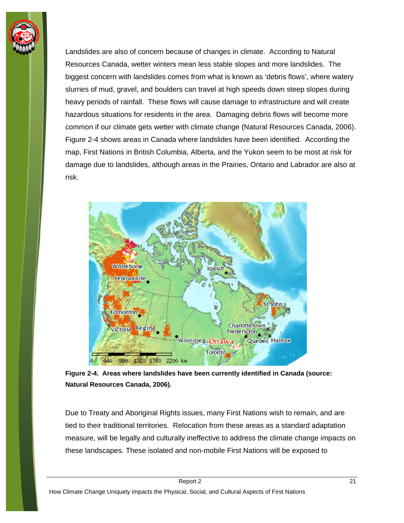

Landslides are also of concern because of changes in climate. According to Natural Resources Canada, wetter winters mean less stable slopes and more landslides. The biggest concern with landslides comes from what is known as 'debris flows', where watery slurries of mud, gravel, and boulders can travel at high speeds down steep slopes during heavy periods of rainfall. These flows will cause damage to infrastructure and will create hazardous situations for residents in the area. Damaging debris flows will become more common if our climate gets wetter with climate change (Natural Resources Canada, 2006). Figure 2-4 shows areas in Canada where landslides have been identified. According the map, First Nations in British Columbia, Alberta, and the Yukon seem to be most at risk for damage due to landslides, although areas in the Prairies, Ontario and Labrador are also at risk.



**Figure 2-4. Areas where landslides have been currently identified in Canada (source: Natural Resources Canada, 2006).** 

Due to Treaty and Aboriginal Rights issues, many First Nations wish to remain, and are tied to their traditional territories. Relocation from these areas as a standard adaptation measure, will be legally and culturally ineffective to address the climate change impacts on these landscapes. These isolated and non-mobile First Nations will be exposed to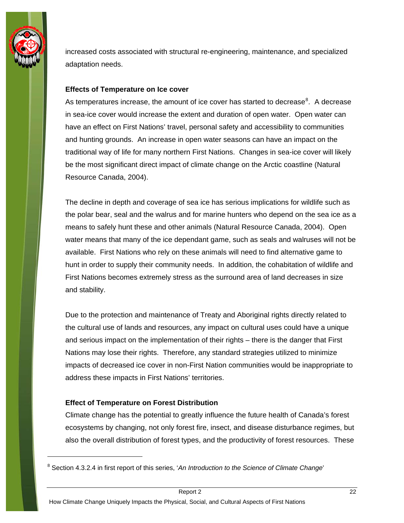

increased costs associated with structural re-engineering, maintenance, and specialized adaptation needs.

#### **Effects of Temperature on Ice cover**

As temperatures increase, the amount of ice cover has started to decrease<sup>[8](#page-25-0)</sup>. A decrease in sea-ice cover would increase the extent and duration of open water. Open water can have an effect on First Nations' travel, personal safety and accessibility to communities and hunting grounds. An increase in open water seasons can have an impact on the traditional way of life for many northern First Nations. Changes in sea-ice cover will likely be the most significant direct impact of climate change on the Arctic coastline (Natural Resource Canada, 2004).

The decline in depth and coverage of sea ice has serious implications for wildlife such as the polar bear, seal and the walrus and for marine hunters who depend on the sea ice as a means to safely hunt these and other animals (Natural Resource Canada, 2004). Open water means that many of the ice dependant game, such as seals and walruses will not be available. First Nations who rely on these animals will need to find alternative game to hunt in order to supply their community needs. In addition, the cohabitation of wildlife and First Nations becomes extremely stress as the surround area of land decreases in size and stability.

Due to the protection and maintenance of Treaty and Aboriginal rights directly related to the cultural use of lands and resources, any impact on cultural uses could have a unique and serious impact on the implementation of their rights – there is the danger that First Nations may lose their rights. Therefore, any standard strategies utilized to minimize impacts of decreased ice cover in non-First Nation communities would be inappropriate to address these impacts in First Nations' territories.

#### **Effect of Temperature on Forest Distribution**

Climate change has the potential to greatly influence the future health of Canada's forest ecosystems by changing, not only forest fire, insect, and disease disturbance regimes, but also the overall distribution of forest types, and the productivity of forest resources. These

<span id="page-25-0"></span><sup>&</sup>lt;sup>8</sup> Section 4.3.2.4 in first report of this series, 'An Introduction to the Science of Climate Change'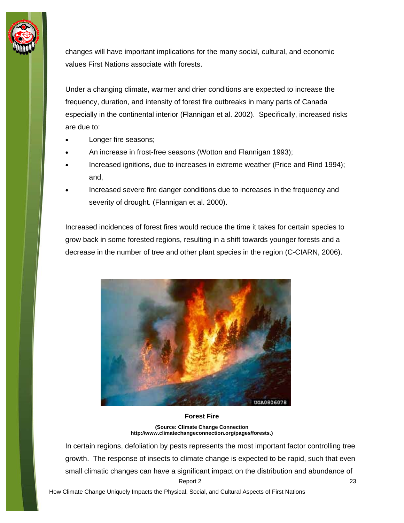

changes will have important implications for the many social, cultural, and economic values First Nations associate with forests.

Under a changing climate, warmer and drier conditions are expected to increase the frequency, duration, and intensity of forest fire outbreaks in many parts of Canada especially in the continental interior (Flannigan et al. 2002). Specifically, increased risks are due to:

- Longer fire seasons;
- An increase in frost-free seasons (Wotton and Flannigan 1993);
- Increased ignitions, due to increases in extreme weather (Price and Rind 1994); and,
- Increased severe fire danger conditions due to increases in the frequency and severity of drought. (Flannigan et al. 2000).

Increased incidences of forest fires would reduce the time it takes for certain species to grow back in some forested regions, resulting in a shift towards younger forests and a decrease in the number of tree and other plant species in the region (C-CIARN, 2006).



#### **Forest Fire**

**(Source: Climate Change Connection http://www.climatechangeconnection.org/pages/forests.)**

In certain regions, defoliation by pests represents the most important factor controlling tree growth. The response of insects to climate change is expected to be rapid, such that even small climatic changes can have a significant impact on the distribution and abundance of

Report 2 and 23 and 23 and 23 and 23 and 24 and 24 and 25 and 26 and 23 and 23 and 23 and 23 and 23 and 23 and 23 and 23 and 23 and 23 and 23 and 23 and 23 and 24 and 25 and 26 and 27 and 27 and 27 and 27 and 27 and 27 and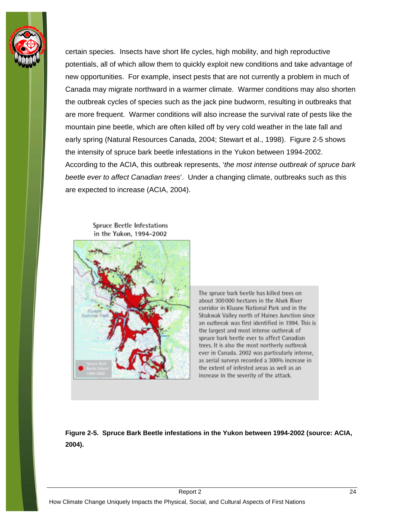

certain species. Insects have short life cycles, high mobility, and high reproductive potentials, all of which allow them to quickly exploit new conditions and take advantage of new opportunities. For example, insect pests that are not currently a problem in much of Canada may migrate northward in a warmer climate. Warmer conditions may also shorten the outbreak cycles of species such as the jack pine budworm, resulting in outbreaks that are more frequent. Warmer conditions will also increase the survival rate of pests like the mountain pine beetle, which are often killed off by very cold weather in the late fall and early spring (Natural Resources Canada, 2004; Stewart et al., 1998). Figure 2-5 shows the intensity of spruce bark beetle infestations in the Yukon between 1994-2002. According to the ACIA, this outbreak represents, '*the most intense outbreak of spruce bark beetle ever to affect Canadian trees*'. Under a changing climate, outbreaks such as this are expected to increase (ACIA, 2004).

**Spruce Beetle Infestations** in the Yukon, 1994-2002



The spruce bark beetle has killed trees on about 300 000 hectares in the Alsek River corridor in Kluane National Park and in the Shakwak Valley north of Haines Junction since an outbreak was first identified in 1994. This is the largest and most intense outbreak of spruce bark beetle ever to affect Canadian trees. It is also the most northerly outbreak ever in Canada. 2002 was particularly intense, as aerial surveys recorded a 300% increase in the extent of infested areas as well as an increase in the severity of the attack.

**Figure 2-5. Spruce Bark Beetle infestations in the Yukon between 1994-2002 (source: ACIA, 2004).**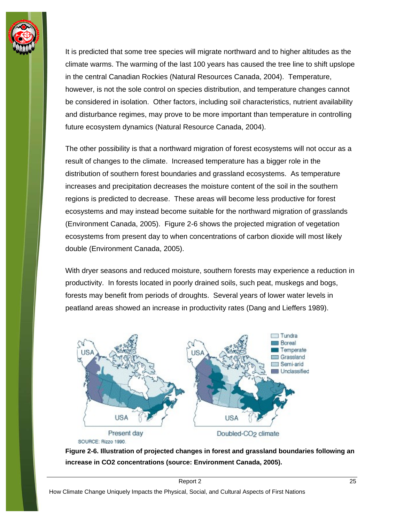

It is predicted that some tree species will migrate northward and to higher altitudes as the climate warms. The warming of the last 100 years has caused the tree line to shift upslope in the central Canadian Rockies (Natural Resources Canada, 2004). Temperature, however, is not the sole control on species distribution, and temperature changes cannot be considered in isolation. Other factors, including soil characteristics, nutrient availability and disturbance regimes, may prove to be more important than temperature in controlling future ecosystem dynamics (Natural Resource Canada, 2004).

The other possibility is that a northward migration of forest ecosystems will not occur as a result of changes to the climate. Increased temperature has a bigger role in the distribution of southern forest boundaries and grassland ecosystems. As temperature increases and precipitation decreases the moisture content of the soil in the southern regions is predicted to decrease. These areas will become less productive for forest ecosystems and may instead become suitable for the northward migration of grasslands (Environment Canada, 2005). Figure 2-6 shows the projected migration of vegetation ecosystems from present day to when concentrations of carbon dioxide will most likely double (Environment Canada, 2005).

With dryer seasons and reduced moisture, southern forests may experience a reduction in productivity. In forests located in poorly drained soils, such peat, muskegs and bogs, forests may benefit from periods of droughts. Several years of lower water levels in peatland areas showed an increase in productivity rates (Dang and Lieffers 1989).



SOURCE: Rizzo 1990.

**Figure 2-6. Illustration of projected changes in forest and grassland boundaries following an increase in CO2 concentrations (source: Environment Canada, 2005).**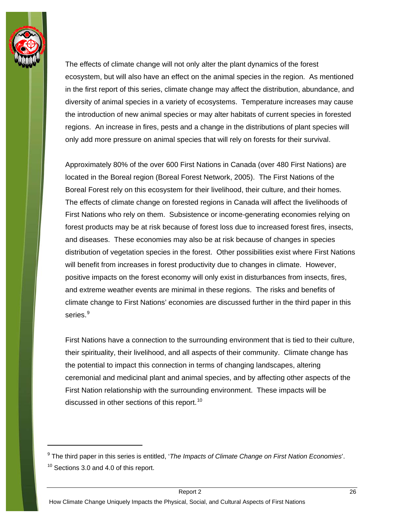

The effects of climate change will not only alter the plant dynamics of the forest ecosystem, but will also have an effect on the animal species in the region. As mentioned in the first report of this series, climate change may affect the distribution, abundance, and diversity of animal species in a variety of ecosystems. Temperature increases may cause the introduction of new animal species or may alter habitats of current species in forested regions. An increase in fires, pests and a change in the distributions of plant species will only add more pressure on animal species that will rely on forests for their survival.

Approximately 80% of the over 600 First Nations in Canada (over 480 First Nations) are located in the Boreal region (Boreal Forest Network, 2005). The First Nations of the Boreal Forest rely on this ecosystem for their livelihood, their culture, and their homes. The effects of climate change on forested regions in Canada will affect the livelihoods of First Nations who rely on them. Subsistence or income-generating economies relying on forest products may be at risk because of forest loss due to increased forest fires, insects, and diseases. These economies may also be at risk because of changes in species distribution of vegetation species in the forest. Other possibilities exist where First Nations will benefit from increases in forest productivity due to changes in climate. However, positive impacts on the forest economy will only exist in disturbances from insects, fires, and extreme weather events are minimal in these regions. The risks and benefits of climate change to First Nations' economies are discussed further in the third paper in this series.<sup>[9](#page-29-0)</sup>

First Nations have a connection to the surrounding environment that is tied to their culture, their spirituality, their livelihood, and all aspects of their community. Climate change has the potential to impact this connection in terms of changing landscapes, altering ceremonial and medicinal plant and animal species, and by affecting other aspects of the First Nation relationship with the surrounding environment. These impacts will be discussed in other sections of this report.<sup>[10](#page-29-1)</sup>

<span id="page-29-1"></span><span id="page-29-0"></span><sup>9</sup> The third paper in this series is entitled, '*The Impacts of Climate Change on First Nation Economies*'.  $10$  Sections 3.0 and 4.0 of this report.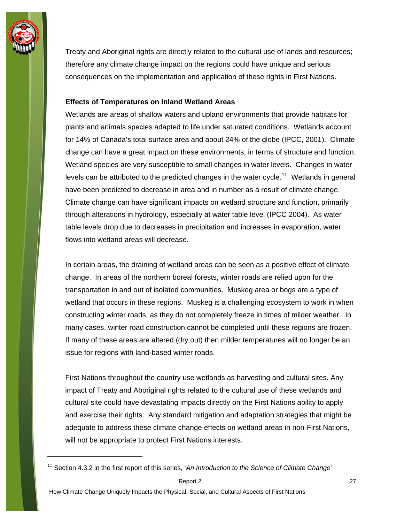

Treaty and Aboriginal rights are directly related to the cultural use of lands and resources; therefore any climate change impact on the regions could have unique and serious consequences on the implementation and application of these rights in First Nations.

#### **Effects of Temperatures on Inland Wetland Areas**

Wetlands are areas of shallow waters and upland environments that provide habitats for plants and animals species adapted to life under saturated conditions. Wetlands account for 14% of Canada's total surface area and about 24% of the globe (IPCC, 2001). Climate change can have a great impact on these environments, in terms of structure and function. Wetland species are very susceptible to small changes in water levels. Changes in water levels can be attributed to the predicted changes in the water cycle.<sup>[11](#page-30-0)</sup> Wetlands in general have been predicted to decrease in area and in number as a result of climate change. Climate change can have significant impacts on wetland structure and function, primarily through alterations in hydrology, especially at water table level (IPCC 2004). As water table levels drop due to decreases in precipitation and increases in evaporation, water flows into wetland areas will decrease.

In certain areas, the draining of wetland areas can be seen as a positive effect of climate change. In areas of the northern boreal forests, winter roads are relied upon for the transportation in and out of isolated communities. Muskeg area or bogs are a type of wetland that occurs in these regions. Muskeg is a challenging ecosystem to work in when constructing winter roads, as they do not completely freeze in times of milder weather. In many cases, winter road construction cannot be completed until these regions are frozen. If many of these areas are altered (dry out) then milder temperatures will no longer be an issue for regions with land-based winter roads.

First Nations throughout the country use wetlands as harvesting and cultural sites. Any impact of Treaty and Aboriginal rights related to the cultural use of these wetlands and cultural site could have devastating impacts directly on the First Nations ability to apply and exercise their rights. Any standard mitigation and adaptation strategies that might be adequate to address these climate change effects on wetland areas in non-First Nations, will not be appropriate to protect First Nations interests.

<span id="page-30-0"></span><sup>&</sup>lt;sup>11</sup> Section 4.3.2 in the first report of this series, 'An Introduction to the Science of Climate Change'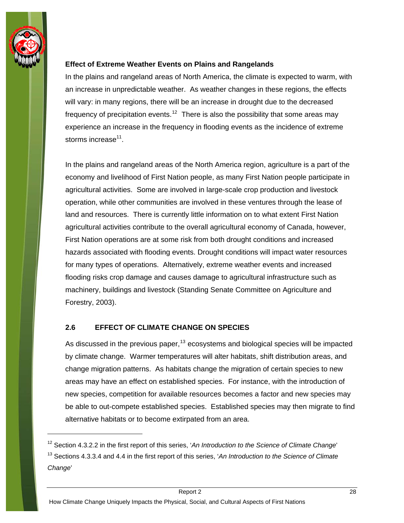<span id="page-31-0"></span>

#### **Effect of Extreme Weather Events on Plains and Rangelands**

In the plains and rangeland areas of North America, the climate is expected to warm, with an increase in unpredictable weather. As weather changes in these regions, the effects will vary: in many regions, there will be an increase in drought due to the decreased frequency of precipitation events.<sup>[12](#page-31-1)</sup> There is also the possibility that some areas may experience an increase in the frequency in flooding events as the incidence of extreme storms increase $11$ .

In the plains and rangeland areas of the North America region, agriculture is a part of the economy and livelihood of First Nation people, as many First Nation people participate in agricultural activities. Some are involved in large-scale crop production and livestock operation, while other communities are involved in these ventures through the lease of land and resources. There is currently little information on to what extent First Nation agricultural activities contribute to the overall agricultural economy of Canada, however, First Nation operations are at some risk from both drought conditions and increased hazards associated with flooding events. Drought conditions will impact water resources for many types of operations. Alternatively, extreme weather events and increased flooding risks crop damage and causes damage to agricultural infrastructure such as machinery, buildings and livestock (Standing Senate Committee on Agriculture and Forestry, 2003).

#### **2.6 EFFECT OF CLIMATE CHANGE ON SPECIES**

As discussed in the previous paper,  $13$  ecosystems and biological species will be impacted by climate change. Warmer temperatures will alter habitats, shift distribution areas, and change migration patterns. As habitats change the migration of certain species to new areas may have an effect on established species. For instance, with the introduction of new species, competition for available resources becomes a factor and new species may be able to out-compete established species. Established species may then migrate to find alternative habitats or to become extirpated from an area.

<span id="page-31-1"></span><sup>12</sup> Section 4.3.2.2 in the first report of this series, '*An Introduction to the Science of Climate Change*'

<span id="page-31-2"></span><sup>13</sup> Sections 4.3.3.4 and 4.4 in the first report of this series, '*An Introduction to the Science of Climate Change*'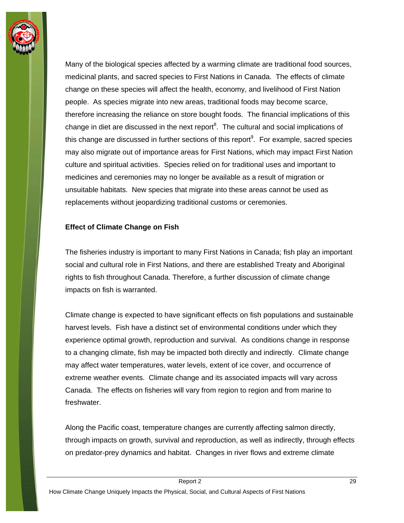

Many of the biological species affected by a warming climate are traditional food sources, medicinal plants, and sacred species to First Nations in Canada. The effects of climate change on these species will affect the health, economy, and livelihood of First Nation people. As species migrate into new areas, traditional foods may become scarce, therefore increasing the reliance on store bought foods. The financial implications of this change in diet are discussed in the next report $8$ . The cultural and social implications of this change are discussed in further sections of this report<sup>9</sup>. For example, sacred species may also migrate out of importance areas for First Nations, which may impact First Nation culture and spiritual activities. Species relied on for traditional uses and important to medicines and ceremonies may no longer be available as a result of migration or unsuitable habitats. New species that migrate into these areas cannot be used as replacements without jeopardizing traditional customs or ceremonies.

#### **Effect of Climate Change on Fish**

The fisheries industry is important to many First Nations in Canada; fish play an important social and cultural role in First Nations, and there are established Treaty and Aboriginal rights to fish throughout Canada. Therefore, a further discussion of climate change impacts on fish is warranted.

Climate change is expected to have significant effects on fish populations and sustainable harvest levels. Fish have a distinct set of environmental conditions under which they experience optimal growth, reproduction and survival. As conditions change in response to a changing climate, fish may be impacted both directly and indirectly. Climate change may affect water temperatures, water levels, extent of ice cover, and occurrence of extreme weather events. Climate change and its associated impacts will vary across Canada. The effects on fisheries will vary from region to region and from marine to freshwater.

Along the Pacific coast, temperature changes are currently affecting salmon directly, through impacts on growth, survival and reproduction, as well as indirectly, through effects on predator-prey dynamics and habitat. Changes in river flows and extreme climate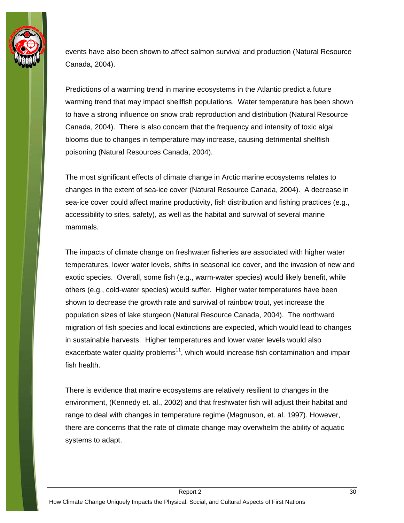

events have also been shown to affect salmon survival and production (Natural Resource Canada, 2004).

Predictions of a warming trend in marine ecosystems in the Atlantic predict a future warming trend that may impact shellfish populations. Water temperature has been shown to have a strong influence on snow crab reproduction and distribution (Natural Resource Canada, 2004). There is also concern that the frequency and intensity of toxic algal blooms due to changes in temperature may increase, causing detrimental shellfish poisoning (Natural Resources Canada, 2004).

The most significant effects of climate change in Arctic marine ecosystems relates to changes in the extent of sea-ice cover (Natural Resource Canada, 2004). A decrease in sea-ice cover could affect marine productivity, fish distribution and fishing practices (e.g., accessibility to sites, safety), as well as the habitat and survival of several marine mammals.

The impacts of climate change on freshwater fisheries are associated with higher water temperatures, lower water levels, shifts in seasonal ice cover, and the invasion of new and exotic species. Overall, some fish (e.g., warm-water species) would likely benefit, while others (e.g., cold-water species) would suffer. Higher water temperatures have been shown to decrease the growth rate and survival of rainbow trout, yet increase the population sizes of lake sturgeon (Natural Resource Canada, 2004). The northward migration of fish species and local extinctions are expected, which would lead to changes in sustainable harvests. Higher temperatures and lower water levels would also exacerbate water quality problems<sup>11</sup>, which would increase fish contamination and impair fish health.

There is evidence that marine ecosystems are relatively resilient to changes in the environment, (Kennedy et. al., 2002) and that freshwater fish will adjust their habitat and range to deal with changes in temperature regime (Magnuson, et. al. 1997). However, there are concerns that the rate of climate change may overwhelm the ability of aquatic systems to adapt.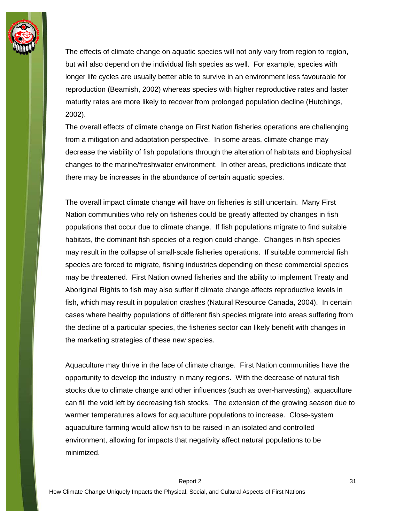

The effects of climate change on aquatic species will not only vary from region to region, but will also depend on the individual fish species as well. For example, species with longer life cycles are usually better able to survive in an environment less favourable for reproduction (Beamish, 2002) whereas species with higher reproductive rates and faster maturity rates are more likely to recover from prolonged population decline (Hutchings, 2002).

The overall effects of climate change on First Nation fisheries operations are challenging from a mitigation and adaptation perspective. In some areas, climate change may decrease the viability of fish populations through the alteration of habitats and biophysical changes to the marine/freshwater environment. In other areas, predictions indicate that there may be increases in the abundance of certain aquatic species.

The overall impact climate change will have on fisheries is still uncertain. Many First Nation communities who rely on fisheries could be greatly affected by changes in fish populations that occur due to climate change. If fish populations migrate to find suitable habitats, the dominant fish species of a region could change. Changes in fish species may result in the collapse of small-scale fisheries operations. If suitable commercial fish species are forced to migrate, fishing industries depending on these commercial species may be threatened. First Nation owned fisheries and the ability to implement Treaty and Aboriginal Rights to fish may also suffer if climate change affects reproductive levels in fish, which may result in population crashes (Natural Resource Canada, 2004). In certain cases where healthy populations of different fish species migrate into areas suffering from the decline of a particular species, the fisheries sector can likely benefit with changes in the marketing strategies of these new species.

Aquaculture may thrive in the face of climate change. First Nation communities have the opportunity to develop the industry in many regions. With the decrease of natural fish stocks due to climate change and other influences (such as over-harvesting), aquaculture can fill the void left by decreasing fish stocks. The extension of the growing season due to warmer temperatures allows for aquaculture populations to increase. Close-system aquaculture farming would allow fish to be raised in an isolated and controlled environment, allowing for impacts that negativity affect natural populations to be minimized.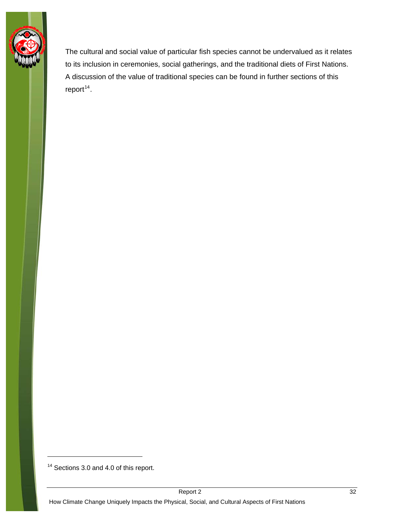

The cultural and social value of particular fish species cannot be undervalued as it relates to its inclusion in ceremonies, social gatherings, and the traditional diets of First Nations. A discussion of the value of traditional species can be found in further sections of this  $report<sup>14</sup>$  $report<sup>14</sup>$  $report<sup>14</sup>$ .

-

<span id="page-35-0"></span><sup>&</sup>lt;sup>14</sup> Sections 3.0 and 4.0 of this report.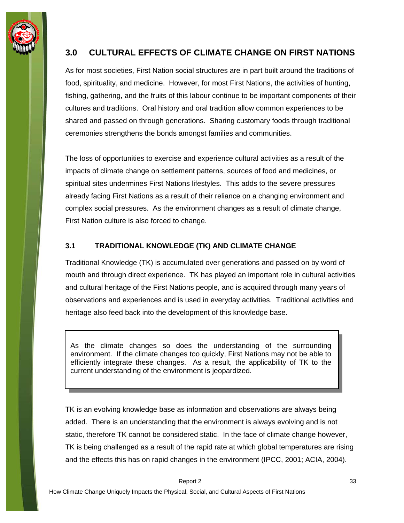<span id="page-36-0"></span>

## **3.0 CULTURAL EFFECTS OF CLIMATE CHANGE ON FIRST NATIONS**

As for most societies, First Nation social structures are in part built around the traditions of food, spirituality, and medicine. However, for most First Nations, the activities of hunting, fishing, gathering, and the fruits of this labour continue to be important components of their cultures and traditions. Oral history and oral tradition allow common experiences to be shared and passed on through generations. Sharing customary foods through traditional ceremonies strengthens the bonds amongst families and communities.

The loss of opportunities to exercise and experience cultural activities as a result of the impacts of climate change on settlement patterns, sources of food and medicines, or spiritual sites undermines First Nations lifestyles. This adds to the severe pressures already facing First Nations as a result of their reliance on a changing environment and complex social pressures. As the environment changes as a result of climate change, First Nation culture is also forced to change.

#### **3.1 TRADITIONAL KNOWLEDGE (TK) AND CLIMATE CHANGE**

Traditional Knowledge (TK) is accumulated over generations and passed on by word of mouth and through direct experience. TK has played an important role in cultural activities and cultural heritage of the First Nations people, and is acquired through many years of observations and experiences and is used in everyday activities. Traditional activities and heritage also feed back into the development of this knowledge base.

As the climate changes so does the understanding of the surrounding environment. If the climate changes too quickly, First Nations may not be able to efficiently integrate these changes. As a result, the applicability of TK to the current understanding of the environment is jeopardized.

TK is an evolving knowledge base as information and observations are always being added. There is an understanding that the environment is always evolving and is not static, therefore TK cannot be considered static. In the face of climate change however, TK is being challenged as a result of the rapid rate at which global temperatures are rising and the effects this has on rapid changes in the environment (IPCC, 2001; ACIA, 2004).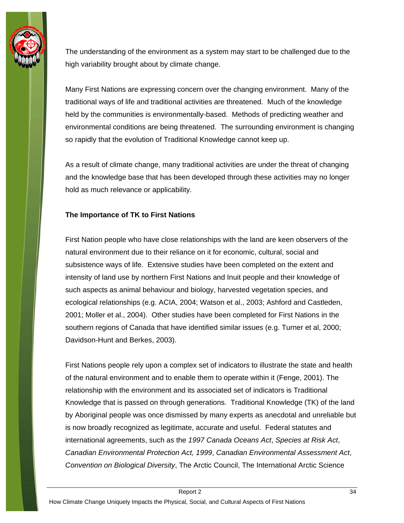

The understanding of the environment as a system may start to be challenged due to the high variability brought about by climate change.

Many First Nations are expressing concern over the changing environment. Many of the traditional ways of life and traditional activities are threatened. Much of the knowledge held by the communities is environmentally-based. Methods of predicting weather and environmental conditions are being threatened. The surrounding environment is changing so rapidly that the evolution of Traditional Knowledge cannot keep up.

As a result of climate change, many traditional activities are under the threat of changing and the knowledge base that has been developed through these activities may no longer hold as much relevance or applicability.

#### **The Importance of TK to First Nations**

First Nation people who have close relationships with the land are keen observers of the natural environment due to their reliance on it for economic, cultural, social and subsistence ways of life. Extensive studies have been completed on the extent and intensity of land use by northern First Nations and Inuit people and their knowledge of such aspects as animal behaviour and biology, harvested vegetation species, and ecological relationships (e.g. ACIA, 2004; Watson et al., 2003; Ashford and Castleden, 2001; Moller et al., 2004). Other studies have been completed for First Nations in the southern regions of Canada that have identified similar issues (e.g. Turner et al, 2000; Davidson-Hunt and Berkes, 2003).

First Nations people rely upon a complex set of indicators to illustrate the state and health of the natural environment and to enable them to operate within it (Fenge, 2001). The relationship with the environment and its associated set of indicators is Traditional Knowledge that is passed on through generations. Traditional Knowledge (TK) of the land by Aboriginal people was once dismissed by many experts as anecdotal and unreliable but is now broadly recognized as legitimate, accurate and useful. Federal statutes and international agreements, such as the *1997 Canada Oceans Act*, *Species at Risk Act*, *Canadian Environmental Protection Act, 1999*, *Canadian Environmental Assessment Act*, *Convention on Biological Diversity*, The Arctic Council, The International Arctic Science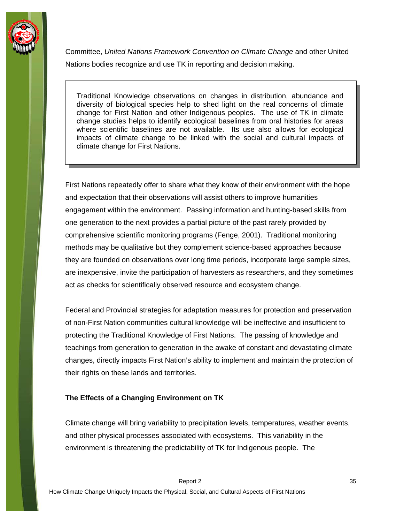

Committee, *United Nations Framework Convention on Climate Change* and other United Nations bodies recognize and use TK in reporting and decision making.

Traditional Knowledge observations on changes in distribution, abundance and diversity of biological species help to shed light on the real concerns of climate change for First Nation and other Indigenous peoples. The use of TK in climate change studies helps to identify ecological baselines from oral histories for areas where scientific baselines are not available. Its use also allows for ecological impacts of climate change to be linked with the social and cultural impacts of climate change for First Nations.

First Nations repeatedly offer to share what they know of their environment with the hope and expectation that their observations will assist others to improve humanities engagement within the environment. Passing information and hunting-based skills from one generation to the next provides a partial picture of the past rarely provided by comprehensive scientific monitoring programs (Fenge, 2001). Traditional monitoring methods may be qualitative but they complement science-based approaches because they are founded on observations over long time periods, incorporate large sample sizes, are inexpensive, invite the participation of harvesters as researchers, and they sometimes act as checks for scientifically observed resource and ecosystem change.

Federal and Provincial strategies for adaptation measures for protection and preservation of non-First Nation communities cultural knowledge will be ineffective and insufficient to protecting the Traditional Knowledge of First Nations. The passing of knowledge and teachings from generation to generation in the awake of constant and devastating climate changes, directly impacts First Nation's ability to implement and maintain the protection of their rights on these lands and territories.

#### **The Effects of a Changing Environment on TK**

Climate change will bring variability to precipitation levels, temperatures, weather events, and other physical processes associated with ecosystems. This variability in the environment is threatening the predictability of TK for Indigenous people. The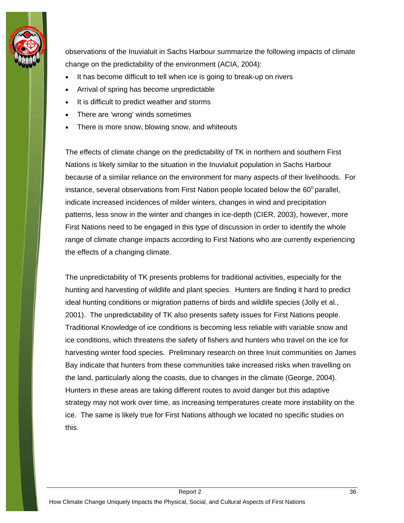

observations of the Inuvialuit in Sachs Harbour summarize the following impacts of climate change on the predictability of the environment (ACIA, 2004):

- It has become difficult to tell when ice is going to break-up on rivers
- Arrival of spring has become unpredictable
- It is difficult to predict weather and storms
- There are 'wrong' winds sometimes
- There is more snow, blowing snow, and whiteouts

The effects of climate change on the predictability of TK in northern and southern First Nations is likely similar to the situation in the Inuvialuit population in Sachs Harbour because of a similar reliance on the environment for many aspects of their livelihoods. For instance, several observations from First Nation people located below the  $60^{\circ}$  parallel, indicate increased incidences of milder winters, changes in wind and precipitation patterns, less snow in the winter and changes in ice-depth (CIER, 2003), however, more First Nations need to be engaged in this type of discussion in order to identify the whole range of climate change impacts according to First Nations who are currently experiencing the effects of a changing climate.

The unpredictability of TK presents problems for traditional activities, especially for the hunting and harvesting of wildlife and plant species. Hunters are finding it hard to predict ideal hunting conditions or migration patterns of birds and wildlife species (Jolly et al., 2001). The unpredictability of TK also presents safety issues for First Nations people. Traditional Knowledge of ice conditions is becoming less reliable with variable snow and ice conditions, which threatens the safety of fishers and hunters who travel on the ice for harvesting winter food species. Preliminary research on three Inuit communities on James Bay indicate that hunters from these communities take increased risks when travelling on the land, particularly along the coasts, due to changes in the climate (George, 2004). Hunters in these areas are taking different routes to avoid danger but this adaptive strategy may not work over time, as increasing temperatures create more instability on the ice. The same is likely true for First Nations although we located no specific studies on this.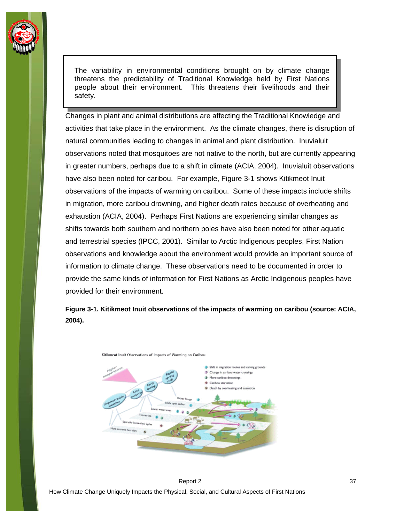

The variability in environmental conditions brought on by climate change threatens the predictability of Traditional Knowledge held by First Nations people about their environment. This threatens their livelihoods and their safety.

Changes in plant and animal distributions are affecting the Traditional Knowledge and activities that take place in the environment. As the climate changes, there is disruption of natural communities leading to changes in animal and plant distribution. Inuvialuit observations noted that mosquitoes are not native to the north, but are currently appearing in greater numbers, perhaps due to a shift in climate (ACIA, 2004). Inuvialuit observations have also been noted for caribou. For example, Figure 3-1 shows Kitikmeot Inuit observations of the impacts of warming on caribou. Some of these impacts include shifts in migration, more caribou drowning, and higher death rates because of overheating and exhaustion (ACIA, 2004). Perhaps First Nations are experiencing similar changes as shifts towards both southern and northern poles have also been noted for other aquatic and terrestrial species (IPCC, 2001). Similar to Arctic Indigenous peoples, First Nation observations and knowledge about the environment would provide an important source of information to climate change. These observations need to be documented in order to provide the same kinds of information for First Nations as Arctic Indigenous peoples have provided for their environment.

**Figure 3-1. Kitikmeot Inuit observations of the impacts of warming on caribou (source: ACIA, 2004).** 



Kitikmeot Inuit Observations of Impacts of Warming on Caribou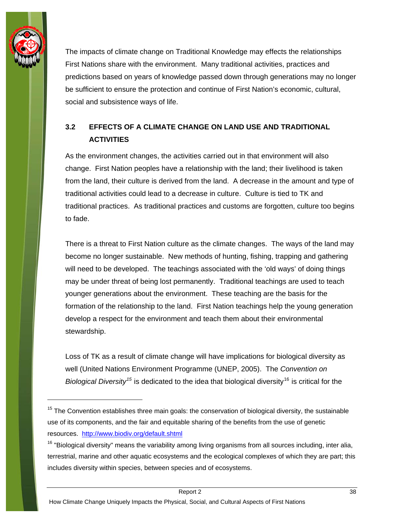<span id="page-41-0"></span>

The impacts of climate change on Traditional Knowledge may effects the relationships First Nations share with the environment. Many traditional activities, practices and predictions based on years of knowledge passed down through generations may no longer be sufficient to ensure the protection and continue of First Nation's economic, cultural, social and subsistence ways of life.

## **3.2 EFFECTS OF A CLIMATE CHANGE ON LAND USE AND TRADITIONAL ACTIVITIES**

As the environment changes, the activities carried out in that environment will also change. First Nation peoples have a relationship with the land; their livelihood is taken from the land, their culture is derived from the land. A decrease in the amount and type of traditional activities could lead to a decrease in culture. Culture is tied to TK and traditional practices. As traditional practices and customs are forgotten, culture too begins to fade.

There is a threat to First Nation culture as the climate changes. The ways of the land may become no longer sustainable. New methods of hunting, fishing, trapping and gathering will need to be developed. The teachings associated with the 'old ways' of doing things may be under threat of being lost permanently. Traditional teachings are used to teach younger generations about the environment. These teaching are the basis for the formation of the relationship to the land. First Nation teachings help the young generation develop a respect for the environment and teach them about their environmental stewardship.

Loss of TK as a result of climate change will have implications for biological diversity as well (United Nations Environment Programme (UNEP, 2005). The *Convention on Biological Diversity*<sup>[15](#page-41-1)</sup> is dedicated to the idea that biological diversity<sup>[16](#page-41-2)</sup> is critical for the

<span id="page-41-1"></span> $15$  The Convention establishes three main goals: the conservation of biological diversity, the sustainable use of its components, and the fair and equitable sharing of the benefits from the use of genetic resources. <http://www.biodiv.org/default.shtml>

<span id="page-41-2"></span><sup>&</sup>lt;sup>16</sup> "Biological diversity" means the variability among living organisms from all sources including, inter alia, terrestrial, marine and other aquatic ecosystems and the ecological complexes of which they are part; this includes diversity within species, between species and of ecosystems.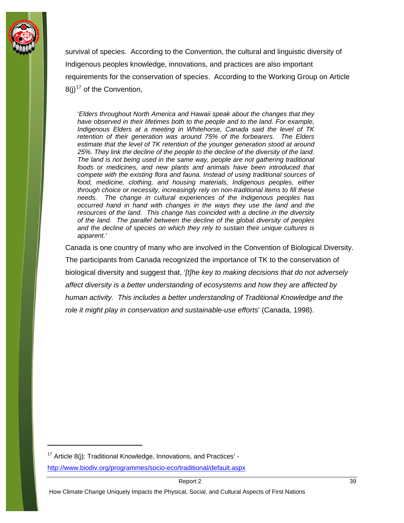

survival of species. According to the Convention, the cultural and linguistic diversity of Indigenous peoples knowledge, innovations, and practices are also important requirements for the conservation of species. According to the Working Group on Article  $8(i)^{17}$  $8(i)^{17}$  $8(i)^{17}$  of the Convention,

'*Elders throughout North America and Hawaii speak about the changes that they have observed in their lifetimes both to the people and to the land. For example, Indigenous Elders at a meeting in Whitehorse, Canada said the level of TK retention of their generation was around 75% of the forbearers. The Elders estimate that the level of TK retention of the younger generation stood at around 25%. They link the decline of the people to the decline of the diversity of the land. The land is not being used in the same way, people are not gathering traditional foods or medicines, and new plants and animals have been introduced that compete with the existing flora and fauna. Instead of using traditional sources of food, medicine, clothing, and housing materials, Indigenous peoples, either through choice or necessity, increasingly rely on non-traditional items to fill these needs. The change in cultural experiences of the Indigenous peoples has occurred hand in hand with changes in the ways they use the land and the resources of the land. This change has coincided with a decline in the diversity of the land. The parallel between the decline of the global diversity of peoples and the decline of species on which they rely to sustain their unique cultures is apparent.'*

Canada is one country of many who are involved in the Convention of Biological Diversity. The participants from Canada recognized the importance of TK to the conservation of biological diversity and suggest that, '*[t]he key to making decisions that do not adversely affect diversity is a better understanding of ecosystems and how they are affected by human activity. This includes a better understanding of Traditional Knowledge and the role it might play in conservation and sustainable-use efforts*' (Canada, 1998).

<span id="page-42-0"></span> $17$  Article 8(j): Traditional Knowledge, Innovations, and Practices' -

<http://www.biodiv.org/programmes/socio-eco/traditional/default.aspx>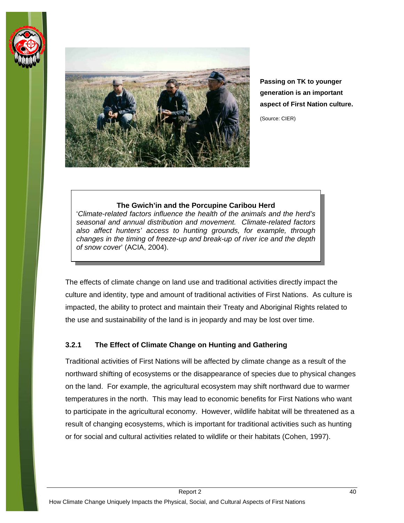<span id="page-43-0"></span>



**Passing on TK to younger generation is an important aspect of First Nation culture.** 

(Source: CIER)

#### **The Gwich'in and the Porcupine Caribou Herd**

'*Climate-related factors influence the health of the animals and the herd's seasonal and annual distribution and movement. Climate-related factors also affect hunters' access to hunting grounds, for example, through changes in the timing of freeze-up and break-up of river ice and the depth of snow cover*' (ACIA, 2004).

The effects of climate change on land use and traditional activities directly impact the culture and identity, type and amount of traditional activities of First Nations. As culture is impacted, the ability to protect and maintain their Treaty and Aboriginal Rights related to the use and sustainability of the land is in jeopardy and may be lost over time.

#### **3.2.1 The Effect of Climate Change on Hunting and Gathering**

Traditional activities of First Nations will be affected by climate change as a result of the northward shifting of ecosystems or the disappearance of species due to physical changes on the land. For example, the agricultural ecosystem may shift northward due to warmer temperatures in the north. This may lead to economic benefits for First Nations who want to participate in the agricultural economy. However, wildlife habitat will be threatened as a result of changing ecosystems, which is important for traditional activities such as hunting or for social and cultural activities related to wildlife or their habitats (Cohen, 1997).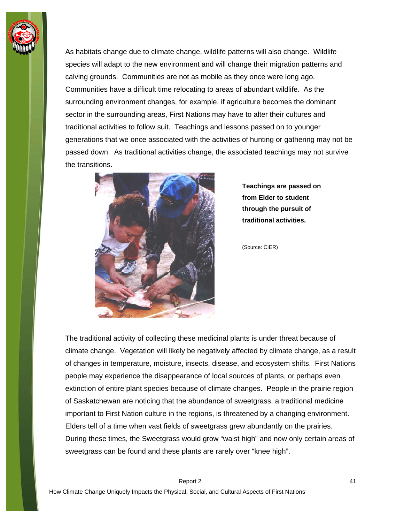

As habitats change due to climate change, wildlife patterns will also change. Wildlife species will adapt to the new environment and will change their migration patterns and calving grounds. Communities are not as mobile as they once were long ago. Communities have a difficult time relocating to areas of abundant wildlife. As the surrounding environment changes, for example, if agriculture becomes the dominant sector in the surrounding areas, First Nations may have to alter their cultures and traditional activities to follow suit. Teachings and lessons passed on to younger generations that we once associated with the activities of hunting or gathering may not be passed down. As traditional activities change, the associated teachings may not survive the transitions.



**Teachings are passed on from Elder to student through the pursuit of traditional activities.** 

(Source: CIER)

The traditional activity of collecting these medicinal plants is under threat because of climate change. Vegetation will likely be negatively affected by climate change, as a result of changes in temperature, moisture, insects, disease, and ecosystem shifts. First Nations people may experience the disappearance of local sources of plants, or perhaps even extinction of entire plant species because of climate changes. People in the prairie region of Saskatchewan are noticing that the abundance of sweetgrass, a traditional medicine important to First Nation culture in the regions, is threatened by a changing environment. Elders tell of a time when vast fields of sweetgrass grew abundantly on the prairies. During these times, the Sweetgrass would grow "waist high" and now only certain areas of sweetgrass can be found and these plants are rarely over "knee high".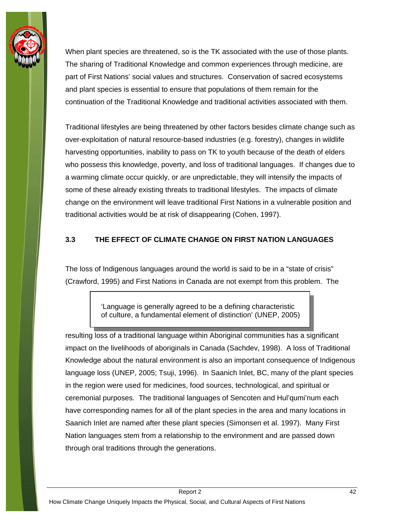<span id="page-45-0"></span>

When plant species are threatened, so is the TK associated with the use of those plants. The sharing of Traditional Knowledge and common experiences through medicine, are part of First Nations' social values and structures. Conservation of sacred ecosystems and plant species is essential to ensure that populations of them remain for the continuation of the Traditional Knowledge and traditional activities associated with them.

Traditional lifestyles are being threatened by other factors besides climate change such as over-exploitation of natural resource-based industries (e.g. forestry), changes in wildlife harvesting opportunities, inability to pass on TK to youth because of the death of elders who possess this knowledge, poverty, and loss of traditional languages. If changes due to a warming climate occur quickly, or are unpredictable, they will intensify the impacts of some of these already existing threats to traditional lifestyles. The impacts of climate change on the environment will leave traditional First Nations in a vulnerable position and traditional activities would be at risk of disappearing (Cohen, 1997).

#### **3.3 THE EFFECT OF CLIMATE CHANGE ON FIRST NATION LANGUAGES**

The loss of Indigenous languages around the world is said to be in a "state of crisis" (Crawford, 1995) and First Nations in Canada are not exempt from this problem. The

> 'Language is generally agreed to be a defining characteristic of culture, a fundamental element of distinction' (UNEP, 2005)

resulting loss of a traditional language within Aboriginal communities has a significant impact on the livelihoods of aboriginals in Canada (Sachdev, 1998). A loss of Traditional Knowledge about the natural environment is also an important consequence of Indigenous language loss (UNEP, 2005; Tsuji, 1996). In Saanich Inlet, BC, many of the plant species in the region were used for medicines, food sources, technological, and spiritual or ceremonial purposes. The traditional languages of Sencoten and Hul'qumi'num each have corresponding names for all of the plant species in the area and many locations in Saanich Inlet are named after these plant species (Simonsen et al. 1997). Many First Nation languages stem from a relationship to the environment and are passed down through oral traditions through the generations.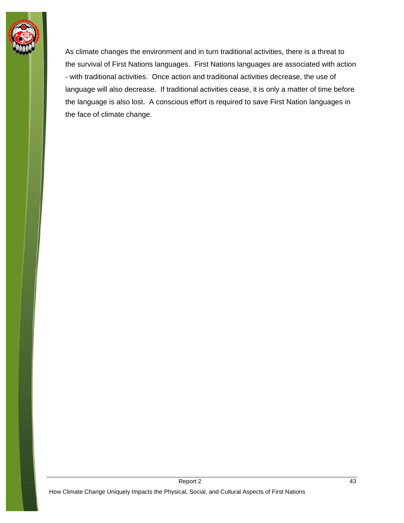

As climate changes the environment and in turn traditional activities, there is a threat to the survival of First Nations languages. First Nations languages are associated with action - with traditional activities. Once action and traditional activities decrease, the use of language will also decrease. If traditional activities cease, it is only a matter of time before the language is also lost. A conscious effort is required to save First Nation languages in the face of climate change.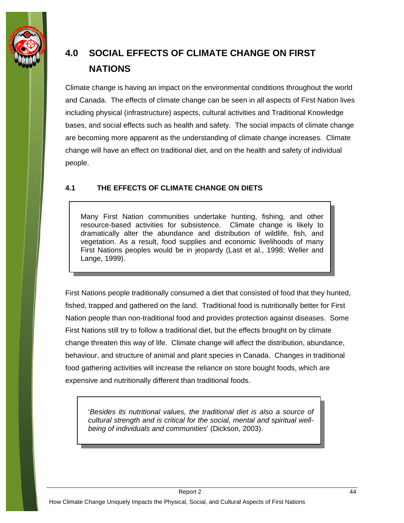<span id="page-47-0"></span>

# **4.0 SOCIAL EFFECTS OF CLIMATE CHANGE ON FIRST NATIONS**

Climate change is having an impact on the environmental conditions throughout the world and Canada. The effects of climate change can be seen in all aspects of First Nation lives including physical (infrastructure) aspects, cultural activities and Traditional Knowledge bases, and social effects such as health and safety. The social impacts of climate change are becoming more apparent as the understanding of climate change increases. Climate change will have an effect on traditional diet, and on the health and safety of individual people.

#### **4.1 THE EFFECTS OF CLIMATE CHANGE ON DIETS**

Many First Nation communities undertake hunting, fishing, and other resource-based activities for subsistence. Climate change is likely to dramatically alter the abundance and distribution of wildlife, fish, and vegetation. As a result, food supplies and economic livelihoods of many First Nations peoples would be in jeopardy (Last et al., 1998; Weller and Lange, 1999).

First Nations people traditionally consumed a diet that consisted of food that they hunted, fished, trapped and gathered on the land. Traditional food is nutritionally better for First Nation people than non-traditional food and provides protection against diseases. Some First Nations still try to follow a traditional diet, but the effects brought on by climate change threaten this way of life. Climate change will affect the distribution, abundance, behaviour, and structure of animal and plant species in Canada. Changes in traditional food gathering activities will increase the reliance on store bought foods, which are expensive and nutritionally different than traditional foods.

'*Besides its nutritional values, the traditional diet is also a source of cultural strength and is critical for the social, mental and spiritual wellbeing of individuals and communities*' (Dickson, 2003).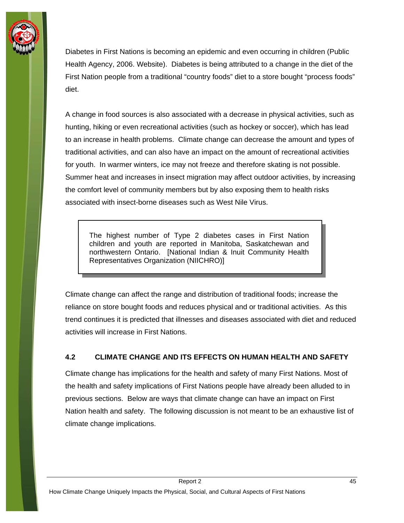<span id="page-48-0"></span>

Diabetes in First Nations is becoming an epidemic and even occurring in children (Public Health Agency, 2006. Website). Diabetes is being attributed to a change in the diet of the First Nation people from a traditional "country foods" diet to a store bought "process foods" diet.

A change in food sources is also associated with a decrease in physical activities, such as hunting, hiking or even recreational activities (such as hockey or soccer), which has lead to an increase in health problems. Climate change can decrease the amount and types of traditional activities, and can also have an impact on the amount of recreational activities for youth. In warmer winters, ice may not freeze and therefore skating is not possible. Summer heat and increases in insect migration may affect outdoor activities, by increasing the comfort level of community members but by also exposing them to health risks associated with insect-borne diseases such as West Nile Virus.

The highest number of Type 2 diabetes cases in First Nation children and youth are reported in Manitoba, Saskatchewan and northwestern Ontario. [National Indian & Inuit Community Health Representatives Organization (NIICHRO)]

Climate change can affect the range and distribution of traditional foods; increase the reliance on store bought foods and reduces physical and or traditional activities. As this trend continues it is predicted that illnesses and diseases associated with diet and reduced activities will increase in First Nations.

#### **4.2 CLIMATE CHANGE AND ITS EFFECTS ON HUMAN HEALTH AND SAFETY**

Climate change has implications for the health and safety of many First Nations. Most of the health and safety implications of First Nations people have already been alluded to in previous sections. Below are ways that climate change can have an impact on First Nation health and safety. The following discussion is not meant to be an exhaustive list of climate change implications.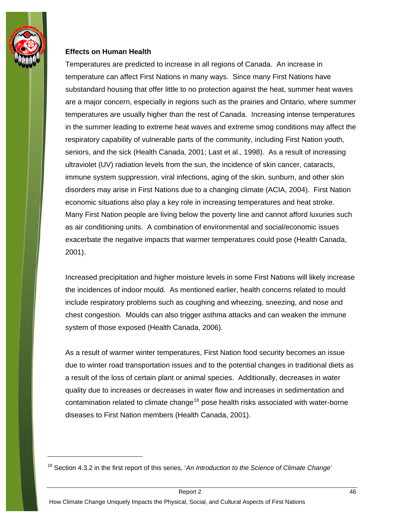

 $\overline{a}$ 

#### **Effects on Human Health**

Temperatures are predicted to increase in all regions of Canada. An increase in temperature can affect First Nations in many ways. Since many First Nations have substandard housing that offer little to no protection against the heat, summer heat waves are a major concern, especially in regions such as the prairies and Ontario, where summer temperatures are usually higher than the rest of Canada. Increasing intense temperatures in the summer leading to extreme heat waves and extreme smog conditions may affect the respiratory capability of vulnerable parts of the community, including First Nation youth, seniors, and the sick (Health Canada, 2001; Last et al., 1998). As a result of increasing ultraviolet (UV) radiation levels from the sun, the incidence of skin cancer, cataracts, immune system suppression, viral infections, aging of the skin, sunburn, and other skin disorders may arise in First Nations due to a changing climate (ACIA, 2004). First Nation economic situations also play a key role in increasing temperatures and heat stroke. Many First Nation people are living below the poverty line and cannot afford luxuries such as air conditioning units. A combination of environmental and social/economic issues exacerbate the negative impacts that warmer temperatures could pose (Health Canada, 2001).

Increased precipitation and higher moisture levels in some First Nations will likely increase the incidences of indoor mould. As mentioned earlier, health concerns related to mould include respiratory problems such as coughing and wheezing, sneezing, and nose and chest congestion. Moulds can also trigger asthma attacks and can weaken the immune system of those exposed (Health Canada, 2006).

As a result of warmer winter temperatures, First Nation food security becomes an issue due to winter road transportation issues and to the potential changes in traditional diets as a result of the loss of certain plant or animal species. Additionally, decreases in water quality due to increases or decreases in water flow and increases in sedimentation and contamination related to climate change<sup>[18](#page-49-0)</sup> pose health risks associated with water-borne diseases to First Nation members (Health Canada, 2001).

<span id="page-49-0"></span><sup>18</sup> Section 4.3.2 in the first report of this series, '*An Introduction to the Science of Climate Change*'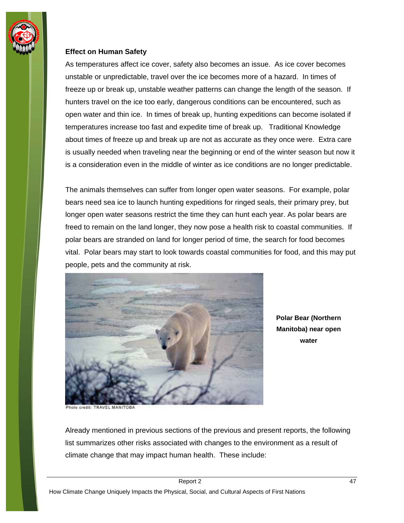

#### **Effect on Human Safety**

As temperatures affect ice cover, safety also becomes an issue. As ice cover becomes unstable or unpredictable, travel over the ice becomes more of a hazard. In times of freeze up or break up, unstable weather patterns can change the length of the season. If hunters travel on the ice too early, dangerous conditions can be encountered, such as open water and thin ice. In times of break up, hunting expeditions can become isolated if temperatures increase too fast and expedite time of break up. Traditional Knowledge about times of freeze up and break up are not as accurate as they once were. Extra care is usually needed when traveling near the beginning or end of the winter season but now it is a consideration even in the middle of winter as ice conditions are no longer predictable.

The animals themselves can suffer from longer open water seasons. For example, polar bears need sea ice to launch hunting expeditions for ringed seals, their primary prey, but longer open water seasons restrict the time they can hunt each year. As polar bears are freed to remain on the land longer, they now pose a health risk to coastal communities. If polar bears are stranded on land for longer period of time, the search for food becomes vital. Polar bears may start to look towards coastal communities for food, and this may put people, pets and the community at risk.



hoto credit: TRAVEL MANITOBA

**Polar Bear (Northern Manitoba) near open water** 

Already mentioned in previous sections of the previous and present reports, the following list summarizes other risks associated with changes to the environment as a result of climate change that may impact human health. These include: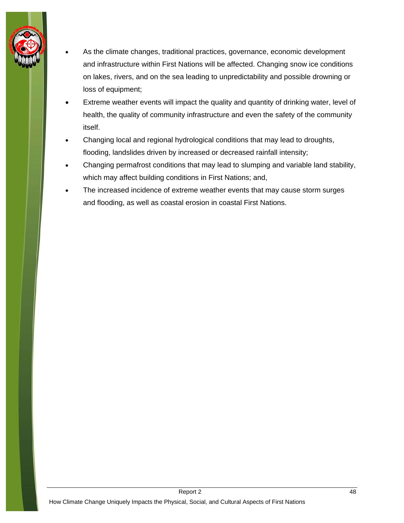

- As the climate changes, traditional practices, governance, economic development and infrastructure within First Nations will be affected. Changing snow ice conditions on lakes, rivers, and on the sea leading to unpredictability and possible drowning or loss of equipment;
- Extreme weather events will impact the quality and quantity of drinking water, level of health, the quality of community infrastructure and even the safety of the community itself.
- Changing local and regional hydrological conditions that may lead to droughts, flooding, landslides driven by increased or decreased rainfall intensity;
- Changing permafrost conditions that may lead to slumping and variable land stability, which may affect building conditions in First Nations; and,
- The increased incidence of extreme weather events that may cause storm surges and flooding, as well as coastal erosion in coastal First Nations.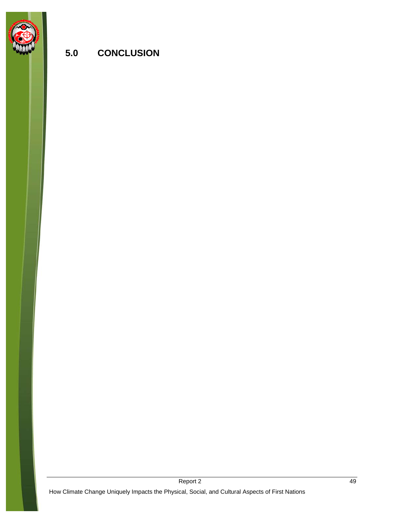<span id="page-52-0"></span>

## **5.0 CONCLUSION**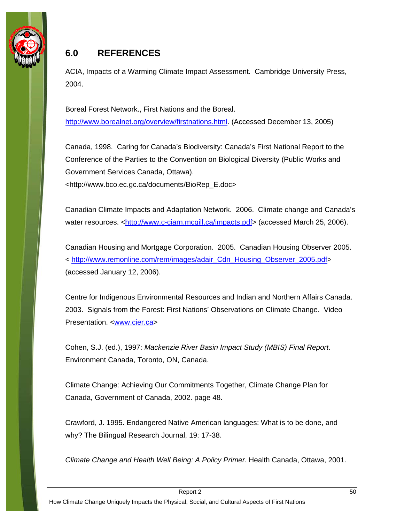<span id="page-53-0"></span>

## **6.0 REFERENCES**

ACIA, Impacts of a Warming Climate Impact Assessment. Cambridge University Press, 2004.

Boreal Forest Network., First Nations and the Boreal. [http://www.borealnet.org/overview/firstnations.html.](http://www.borealnet.org/overview/firstnations.html) (Accessed December 13, 2005)

Canada, 1998. Caring for Canada's Biodiversity: Canada's First National Report to the Conference of the Parties to the Convention on Biological Diversity (Public Works and Government Services Canada, Ottawa). <http://www.bco.ec.gc.ca/documents/BioRep\_E.doc>

Canadian Climate Impacts and Adaptation Network. 2006. Climate change and Canada's water resources. <<http://www.c-ciarn.mcgill.ca/impacts.pdf>> (accessed March 25, 2006).

Canadian Housing and Mortgage Corporation. 2005. Canadian Housing Observer 2005. < [http://www.remonline.com/rem/images/adair\\_Cdn\\_Housing\\_Observer\\_2005.pdf](http://www.remonline.com/rem/images/adair_Cdn_Housing_Observer_2005.pdf)> (accessed January 12, 2006).

Centre for Indigenous Environmental Resources and Indian and Northern Affairs Canada. 2003. Signals from the Forest: First Nations' Observations on Climate Change. Video Presentation. [<www.cier.ca>](http://www.cier.ca/)

Cohen, S.J. (ed.), 1997: *Mackenzie River Basin Impact Study (MBIS) Final Report*. Environment Canada, Toronto, ON, Canada.

Climate Change: Achieving Our Commitments Together, Climate Change Plan for Canada, Government of Canada, 2002. page 48.

Crawford, J. 1995. Endangered Native American languages: What is to be done, and why? The Bilingual Research Journal, 19: 17-38.

*Climate Change and Health Well Being: A Policy Primer*. Health Canada, Ottawa, 2001.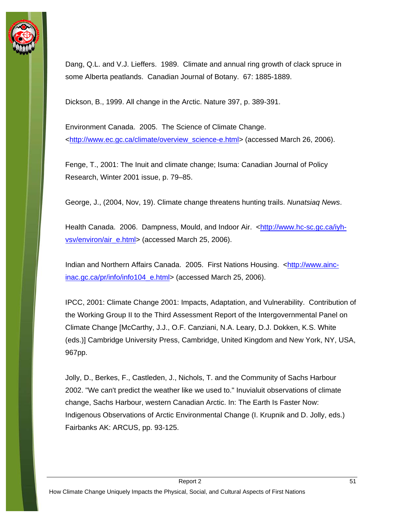

Dang, Q.L. and V.J. Lieffers. 1989. Climate and annual ring growth of clack spruce in some Alberta peatlands. Canadian Journal of Botany. 67: 1885-1889.

Dickson, B., 1999. All change in the Arctic. Nature 397, p. 389-391.

Environment Canada. 2005. The Science of Climate Change. [<http://www.ec.gc.ca/climate/overview\\_science-e.html](http://www.ec.gc.ca/climate/overview_science-e.html)> (accessed March 26, 2006).

Fenge, T., 2001: The Inuit and climate change; Isuma: Canadian Journal of Policy Research, Winter 2001 issue, p. 79–85.

George, J., (2004, Nov, 19). Climate change threatens hunting trails. *Nunatsiaq News*.

Health Canada. 2006. Dampness, Mould, and Indoor Air. <[http://www.hc-sc.gc.ca/iyh](http://www.hc-sc.gc.ca/iyh-vsv/environ/air_e.html)[vsv/environ/air\\_e.html>](http://www.hc-sc.gc.ca/iyh-vsv/environ/air_e.html) (accessed March 25, 2006).

Indian and Northern Affairs Canada. 2005. First Nations Housing. <[http://www.ainc](http://www.ainc-inac.gc.ca/pr/info/info104_e.html)[inac.gc.ca/pr/info/info104\\_e.html](http://www.ainc-inac.gc.ca/pr/info/info104_e.html)> (accessed March 25, 2006).

IPCC, 2001: Climate Change 2001: Impacts, Adaptation, and Vulnerability. Contribution of the Working Group II to the Third Assessment Report of the Intergovernmental Panel on Climate Change [McCarthy, J.J., O.F. Canziani, N.A. Leary, D.J. Dokken, K.S. White (eds.)] Cambridge University Press, Cambridge, United Kingdom and New York, NY, USA, 967pp.

Jolly, D., Berkes, F., Castleden, J., Nichols, T. and the Community of Sachs Harbour 2002. "We can't predict the weather like we used to." Inuvialuit observations of climate change, Sachs Harbour, western Canadian Arctic. In: The Earth Is Faster Now: Indigenous Observations of Arctic Environmental Change (I. Krupnik and D. Jolly, eds.) Fairbanks AK: ARCUS, pp. 93-125.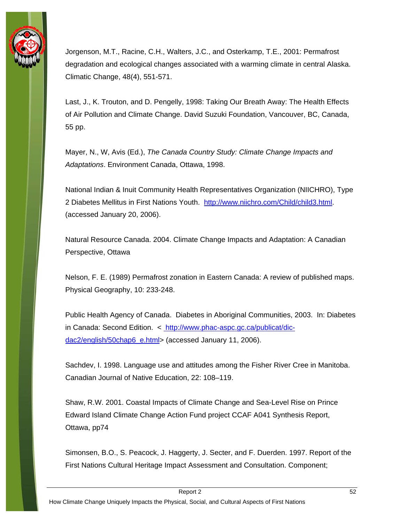

Jorgenson, M.T., Racine, C.H., Walters, J.C., and Osterkamp, T.E., 2001: Permafrost degradation and ecological changes associated with a warming climate in central Alaska. Climatic Change, 48(4), 551-571.

Last, J., K. Trouton, and D. Pengelly, 1998: Taking Our Breath Away: The Health Effects of Air Pollution and Climate Change. David Suzuki Foundation, Vancouver, BC, Canada, 55 pp.

Mayer, N., W, Avis (Ed.), *The Canada Country Study: Climate Change Impacts and Adaptations*. Environment Canada, Ottawa, 1998.

National Indian & Inuit Community Health Representatives Organization (NIICHRO), Type 2 Diabetes Mellitus in First Nations Youth. [http://www.niichro.com/Child/child3.html.](http://www.niichro.com/Child/child3.html) (accessed January 20, 2006).

Natural Resource Canada. 2004. Climate Change Impacts and Adaptation: A Canadian Perspective, Ottawa

Nelson, F. E. (1989) Permafrost zonation in Eastern Canada: A review of published maps. Physical Geography, 10: 233-248.

Public Health Agency of Canada. Diabetes in Aboriginal Communities, 2003. In: Diabetes in Canada: Second Edition. < [http://www.phac-aspc.gc.ca/publicat/dic](http://www.phac-aspc.gc.ca/publicat/dic-dac2/english/50chap6_e.html)[dac2/english/50chap6\\_e.html](http://www.phac-aspc.gc.ca/publicat/dic-dac2/english/50chap6_e.html)> (accessed January 11, 2006).

Sachdev, I. 1998. Language use and attitudes among the Fisher River Cree in Manitoba. Canadian Journal of Native Education, 22: 108–119.

Shaw, R.W. 2001. Coastal Impacts of Climate Change and Sea-Level Rise on Prince Edward Island Climate Change Action Fund project CCAF A041 Synthesis Report, Ottawa, pp74

Simonsen, B.O., S. Peacock, J. Haggerty, J. Secter, and F. Duerden. 1997. Report of the First Nations Cultural Heritage Impact Assessment and Consultation. Component;